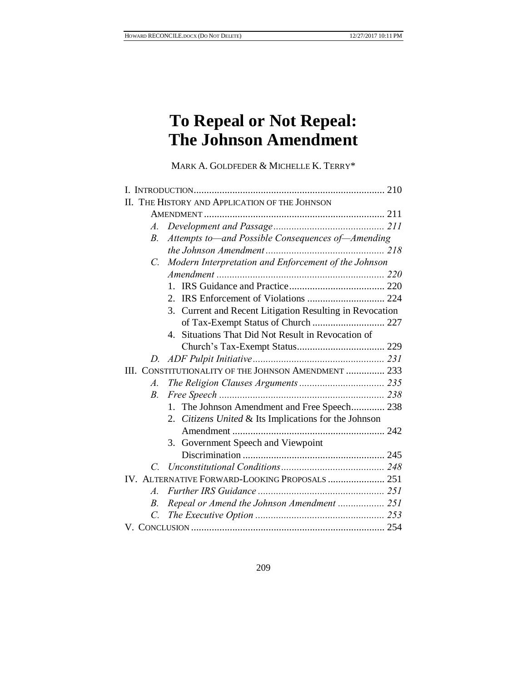# **To Repeal or Not Repeal: The Johnson Amendment**

MARK A. GOLDFEDER & MICHELLE K. TERRY\*

|                                                      | II. THE HISTORY AND APPLICATION OF THE JOHNSON           |  |
|------------------------------------------------------|----------------------------------------------------------|--|
|                                                      |                                                          |  |
| A.                                                   |                                                          |  |
| <i>B</i> .                                           | Attempts to—and Possible Consequences of—Amending        |  |
|                                                      |                                                          |  |
| $C_{\cdot}$                                          | Modern Interpretation and Enforcement of the Johnson     |  |
|                                                      |                                                          |  |
|                                                      | $1 \quad$                                                |  |
|                                                      | $2_{-}$                                                  |  |
|                                                      | 3. Current and Recent Litigation Resulting in Revocation |  |
|                                                      | of Tax-Exempt Status of Church  227                      |  |
|                                                      | 4. Situations That Did Not Result in Revocation of       |  |
|                                                      |                                                          |  |
|                                                      |                                                          |  |
| III. CONSTITUTIONALITY OF THE JOHNSON AMENDMENT  233 |                                                          |  |
| $\mathcal{A}.$                                       |                                                          |  |
| $B_{\cdot}$                                          |                                                          |  |
|                                                      | 1. The Johnson Amendment and Free Speech 238             |  |
|                                                      | 2. Citizens United & Its Implications for the Johnson    |  |
|                                                      |                                                          |  |
|                                                      | 3. Government Speech and Viewpoint                       |  |
|                                                      |                                                          |  |
| $\overline{C}$                                       |                                                          |  |
| IV. ALTERNATIVE FORWARD-LOOKING PROPOSALS  251       |                                                          |  |
| $\mathcal{A}_{\cdot}$                                |                                                          |  |
| В.                                                   | Repeal or Amend the Johnson Amendment  251               |  |
| $\overline{C}$                                       |                                                          |  |
|                                                      |                                                          |  |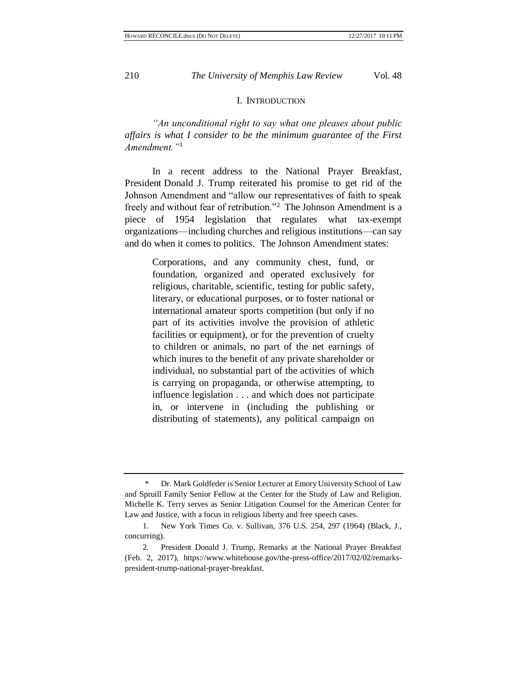#### I. INTRODUCTION

*"An unconditional right to say what one pleases about public affairs is what I consider to be the minimum guarantee of the First Amendment."*<sup>1</sup>

In a recent address to the National Prayer Breakfast, President Donald J. Trump reiterated his promise to get rid of the Johnson Amendment and "allow our representatives of faith to speak freely and without fear of retribution."<sup>2</sup> The Johnson Amendment is a piece of 1954 legislation that regulates what tax-exempt organizations—including churches and religious institutions—can say and do when it comes to politics. The Johnson Amendment states:

Corporations, and any community chest, fund, or foundation, organized and operated exclusively for religious, charitable, scientific, testing for public safety, literary, or educational purposes, or to foster national or international amateur sports competition (but only if no part of its activities involve the provision of athletic facilities or equipment), or for the prevention of cruelty to children or animals, no part of the net earnings of which inures to the benefit of any private shareholder or individual, no substantial part of the activities of which is carrying on propaganda, or otherwise attempting, to influence legislation . . . and which does not participate in, or intervene in (including the publishing or distributing of statements), any political campaign on

<sup>\*</sup> Dr. Mark Goldfeder is Senior Lecturer at Emory University School of Law and Spruill Family Senior Fellow at the Center for the Study of Law and Religion. Michelle K. Terry serves as Senior Litigation Counsel for the American Center for Law and Justice, with a focus in religious liberty and free speech cases.

<sup>1.</sup> New York Times Co. v. Sullivan, 376 U.S. 254, 297 (1964) (Black, J., concurring).

<sup>2.</sup> President Donald J. Trump, Remarks at the National Prayer Breakfast (Feb. 2, 2017), https://www.whitehouse.gov/the-press-office/2017/02/02/remarkspresident-trump-national-prayer-breakfast.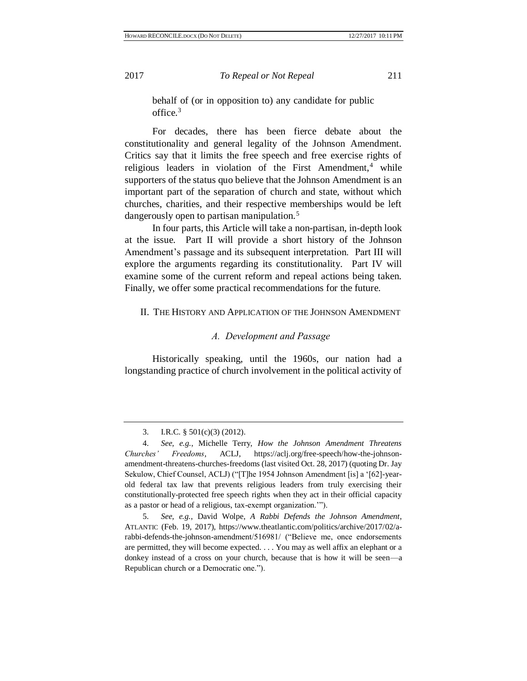behalf of (or in opposition to) any candidate for public office.<sup>3</sup>

For decades, there has been fierce debate about the constitutionality and general legality of the Johnson Amendment. Critics say that it limits the free speech and free exercise rights of religious leaders in violation of the First Amendment, $4$  while supporters of the status quo believe that the Johnson Amendment is an important part of the separation of church and state, without which churches, charities, and their respective memberships would be left dangerously open to partisan manipulation.<sup>5</sup>

In four parts, this Article will take a non-partisan, in-depth look at the issue. Part II will provide a short history of the Johnson Amendment's passage and its subsequent interpretation. Part III will explore the arguments regarding its constitutionality. Part IV will examine some of the current reform and repeal actions being taken. Finally, we offer some practical recommendations for the future.

## II. THE HISTORY AND APPLICATION OF THE JOHNSON AMENDMENT

#### <span id="page-2-0"></span>*A. Development and Passage*

Historically speaking, until the 1960s, our nation had a longstanding practice of church involvement in the political activity of

<sup>3.</sup> I.R.C. § 501(c)(3) (2012).

<sup>4.</sup> *See, e.g.*, Michelle Terry, *How the Johnson Amendment Threatens Churches' Freedoms*, ACLJ, https://aclj.org/free-speech/how-the-johnsonamendment-threatens-churches-freedoms (last visited Oct. 28, 2017) (quoting Dr. Jay Sekulow, Chief Counsel, ACLJ) ("[T]he 1954 Johnson Amendment [is] a '[62]-yearold federal tax law that prevents religious leaders from truly exercising their constitutionally-protected free speech rights when they act in their official capacity as a pastor or head of a religious, tax-exempt organization.'").

<sup>5.</sup> *See, e.g.*, David Wolpe, *A Rabbi Defends the Johnson Amendment*, ATLANTIC (Feb. 19, 2017), https://www.theatlantic.com/politics/archive/2017/02/arabbi-defends-the-johnson-amendment/516981/ ("Believe me, once endorsements are permitted, they will become expected. . . . You may as well affix an elephant or a donkey instead of a cross on your church, because that is how it will be seen—a Republican church or a Democratic one.").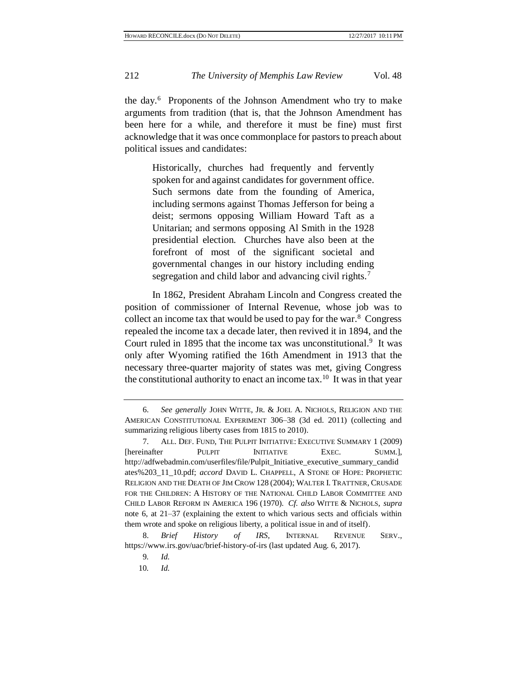<span id="page-3-0"></span>the day.<sup>6</sup> Proponents of the Johnson Amendment who try to make arguments from tradition (that is, that the Johnson Amendment has been here for a while, and therefore it must be fine) must first acknowledge that it was once commonplace for pastors to preach about political issues and candidates:

<span id="page-3-1"></span>Historically, churches had frequently and fervently spoken for and against candidates for government office. Such sermons date from the founding of America, including sermons against Thomas Jefferson for being a deist; sermons opposing William Howard Taft as a Unitarian; and sermons opposing Al Smith in the 1928 presidential election. Churches have also been at the forefront of most of the significant societal and governmental changes in our history including ending segregation and child labor and advancing civil rights.<sup>7</sup>

In 1862, President Abraham Lincoln and Congress created the position of commissioner of Internal Revenue, whose job was to collect an income tax that would be used to pay for the war.<sup>8</sup> Congress repealed the income tax a decade later, then revived it in 1894, and the Court ruled in 1895 that the income tax was unconstitutional.<sup>9</sup> It was only after Wyoming ratified the 16th Amendment in 1913 that the necessary three-quarter majority of states was met, giving Congress the constitutional authority to enact an income tax.<sup>10</sup> It was in that year

<sup>6.</sup> *See generally* JOHN WITTE, JR. & JOEL A. NICHOLS, RELIGION AND THE AMERICAN CONSTITUTIONAL EXPERIMENT 306–38 (3d ed. 2011) (collecting and summarizing religious liberty cases from 1815 to 2010).

<sup>7.</sup> ALL. DEF. FUND, THE PULPIT INITIATIVE: EXECUTIVE SUMMARY 1 (2009) [hereinafter PULPIT INITIATIVE EXEC. SUMM.], http://adfwebadmin.com/userfiles/file/Pulpit\_Initiative\_executive\_summary\_candid ates%203\_11\_10.pdf; *accord* DAVID L. CHAPPELL, A STONE OF HOPE: PROPHETIC RELIGION AND THE DEATH OF JIM CROW 128 (2004); WALTER I. TRATTNER, CRUSADE FOR THE CHILDREN: A HISTORY OF THE NATIONAL CHILD LABOR COMMITTEE AND CHILD LABOR REFORM IN AMERICA 196 (1970). *Cf. also* WITTE & NICHOLS, *supra* note [6,](#page-3-0) at 21–37 (explaining the extent to which various sects and officials within them wrote and spoke on religious liberty, a political issue in and of itself).

<sup>8.</sup> *Brief History of IRS*, INTERNAL REVENUE SERV., https://www.irs.gov/uac/brief-history-of-irs (last updated Aug. 6, 2017).

<sup>9</sup>*. Id.*

<sup>10</sup>*. Id.*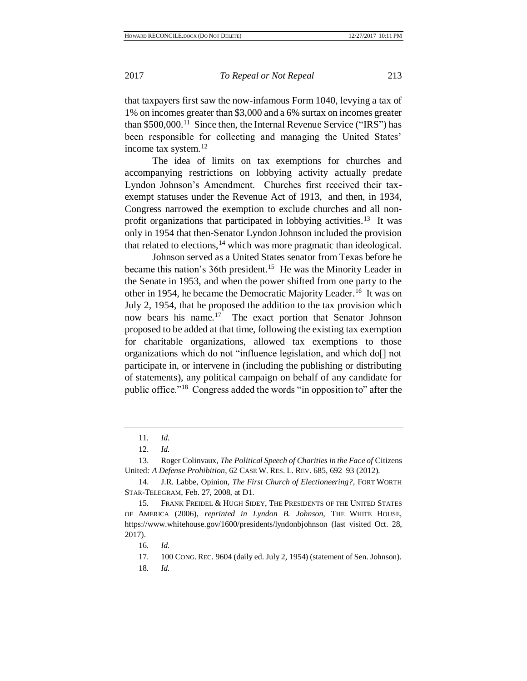that taxpayers first saw the now-infamous Form 1040, levying a tax of 1% on incomes greater than \$3,000 and a 6% surtax on incomes greater than \$500,000.<sup>11</sup> Since then, the Internal Revenue Service ("IRS") has been responsible for collecting and managing the United States' income tax system.<sup>12</sup>

The idea of limits on tax exemptions for churches and accompanying restrictions on lobbying activity actually predate Lyndon Johnson's Amendment. Churches first received their taxexempt statuses under the Revenue Act of 1913, and then, in 1934, Congress narrowed the exemption to exclude churches and all nonprofit organizations that participated in lobbying activities.<sup>13</sup> It was only in 1954 that then-Senator Lyndon Johnson included the provision that related to elections,  $^{14}$  which was more pragmatic than ideological.

<span id="page-4-0"></span>Johnson served as a United States senator from Texas before he became this nation's 36th president.<sup>15</sup> He was the Minority Leader in the Senate in 1953, and when the power shifted from one party to the other in 1954, he became the Democratic Majority Leader.<sup>16</sup> It was on July 2, 1954, that he proposed the addition to the tax provision which now bears his name.<sup>17</sup> The exact portion that Senator Johnson proposed to be added at that time, following the existing tax exemption for charitable organizations, allowed tax exemptions to those organizations which do not "influence legislation, and which do[] not participate in, or intervene in (including the publishing or distributing of statements), any political campaign on behalf of any candidate for public office."<sup>18</sup> Congress added the words "in opposition to" after the

17. 100 CONG. REC. 9604 (daily ed. July 2, 1954) (statement of Sen. Johnson).

<sup>11</sup>*. Id.*

<sup>12.</sup> *Id.*

<sup>13.</sup> Roger Colinvaux, *The Political Speech of Charities in the Face of* Citizens United*: A Defense Prohibition*, 62 CASE W. RES. L. REV. 685, 692–93 (2012).

<sup>14.</sup> J.R. Labbe, Opinion, *The First Church of Electioneering?*, FORT WORTH STAR-TELEGRAM, Feb. 27, 2008, at D1.

<sup>15</sup>*.* FRANK FREIDEL & HUGH SIDEY, THE PRESIDENTS OF THE UNITED STATES OF AMERICA (2006), *reprinted in Lyndon B. Johnson*, THE WHITE HOUSE, https://www.whitehouse.gov/1600/presidents/lyndonbjohnson (last visited Oct. 28, 2017).

<sup>16</sup>*. Id.*

<sup>18</sup>*. Id.*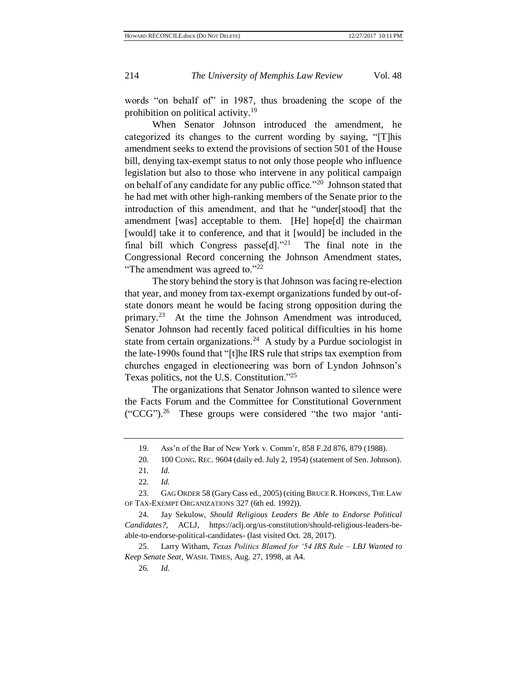words "on behalf of" in 1987, thus broadening the scope of the prohibition on political activity. 19

When Senator Johnson introduced the amendment, he categorized its changes to the current wording by saying, "[T]his amendment seeks to extend the provisions of section 501 of the House bill, denying tax-exempt status to not only those people who influence legislation but also to those who intervene in any political campaign on behalf of any candidate for any public office."<sup>20</sup> Johnson stated that he had met with other high-ranking members of the Senate prior to the introduction of this amendment, and that he "under[stood] that the amendment [was] acceptable to them. [He] hope[d] the chairman [would] take it to conference, and that it [would] be included in the final bill which Congress passe[d]."<sup>21</sup> The final note in the Congressional Record concerning the Johnson Amendment states, "The amendment was agreed to."<sup>22</sup>

The story behind the story is that Johnson was facing re-election that year, and money from tax-exempt organizations funded by out-ofstate donors meant he would be facing strong opposition during the primary.<sup>23</sup> At the time the Johnson Amendment was introduced, Senator Johnson had recently faced political difficulties in his home state from certain organizations.<sup>24</sup> A study by a Purdue sociologist in the late-1990s found that "[t]he IRS rule that strips tax exemption from churches engaged in electioneering was born of Lyndon Johnson's Texas politics, not the U.S. Constitution."<sup>25</sup>

<span id="page-5-0"></span>The organizations that Senator Johnson wanted to silence were the Facts Forum and the Committee for Constitutional Government ("CCG").<sup>26</sup> These groups were considered "the two major 'anti-

26*. Id.*

<sup>19.</sup> Ass'n of the Bar of New York v. Comm'r, 858 F.2d 876, 879 (1988).

<sup>20.</sup> 100 CONG. REC. 9604 (daily ed. July 2, 1954) (statement of Sen. Johnson).

<sup>21</sup>*. Id.*

<sup>22</sup>*. Id.*

<sup>23.</sup> GAG ORDER 58 (Gary Cass ed., 2005) (citing BRUCE R. HOPKINS, THE LAW OF TAX-EXEMPT ORGANIZATIONS 327 (6th ed. 1992)).

<sup>24.</sup> Jay Sekulow, *Should Religious Leaders Be Able to Endorse Political Candidates?*, ACLJ, https://aclj.org/us-constitution/should-religious-leaders-beable-to-endorse-political-candidates- (last visited Oct. 28, 2017).

<sup>25.</sup> Larry Witham, *Texas Politics Blamed for '54 IRS Rule – LBJ Wanted to Keep Senate Seat*, WASH. TIMES, Aug. 27, 1998, at A4.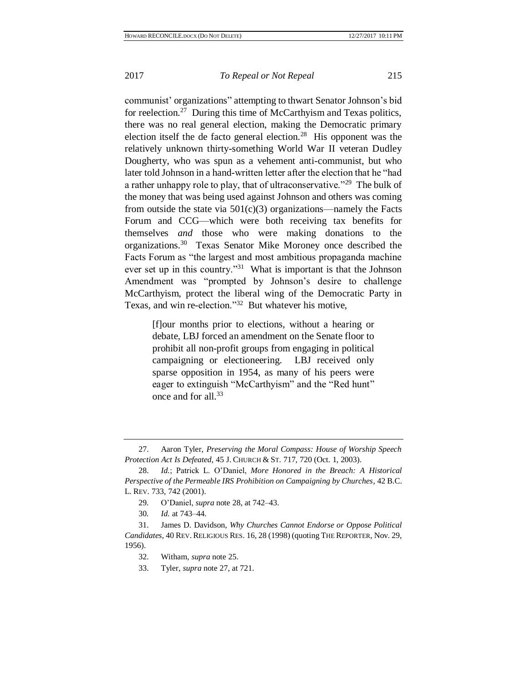<span id="page-6-1"></span><span id="page-6-0"></span>communist' organizations" attempting to thwart Senator Johnson's bid for reelection.<sup>27</sup> During this time of McCarthyism and Texas politics, there was no real general election, making the Democratic primary election itself the de facto general election. $28$  His opponent was the relatively unknown thirty-something World War II veteran Dudley Dougherty, who was spun as a vehement anti-communist, but who later told Johnson in a hand-written letter after the election that he "had a rather unhappy role to play, that of ultraconservative."<sup>29</sup> The bulk of the money that was being used against Johnson and others was coming from outside the state via  $501(c)(3)$  organizations—namely the Facts Forum and CCG—which were both receiving tax benefits for themselves *and* those who were making donations to the organizations.<sup>30</sup> Texas Senator Mike Moroney once described the Facts Forum as "the largest and most ambitious propaganda machine ever set up in this country."<sup>31</sup> What is important is that the Johnson Amendment was "prompted by Johnson's desire to challenge McCarthyism, protect the liberal wing of the Democratic Party in Texas, and win re-election."<sup>32</sup> But whatever his motive,

<span id="page-6-2"></span>[f]our months prior to elections, without a hearing or debate, LBJ forced an amendment on the Senate floor to prohibit all non-profit groups from engaging in political campaigning or electioneering. LBJ received only sparse opposition in 1954, as many of his peers were eager to extinguish "McCarthyism" and the "Red hunt" once and for all.<sup>33</sup>

<sup>27.</sup> Aaron Tyler, *Preserving the Moral Compass: House of Worship Speech Protection Act Is Defeated*, 45 J. CHURCH & ST. 717, 720 (Oct. 1, 2003).

<sup>28.</sup> *Id.*; Patrick L. O'Daniel, *More Honored in the Breach: A Historical Perspective of the Permeable IRS Prohibition on Campaigning by Churches*, 42 B.C. L. REV. 733, 742 (2001).

<sup>29</sup>*.* O'Daniel, *supra* note [28,](#page-6-0) at 742–43.

<sup>30</sup>*. Id.* at 743–44.

<sup>31.</sup> James D. Davidson, *Why Churches Cannot Endorse or Oppose Political Candidates*, 40 REV. RELIGIOUS RES. 16, 28 (1998) (quoting THE REPORTER, Nov. 29, 1956).

<sup>32.</sup> Witham, *supra* note [25.](#page-5-0)

<sup>33.</sup> Tyler, *supra* note [27,](#page-6-1) at 721.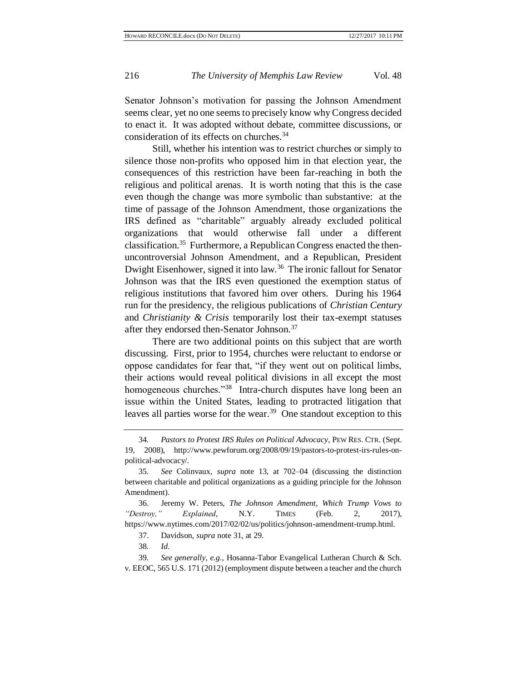Senator Johnson's motivation for passing the Johnson Amendment seems clear, yet no one seems to precisely know why Congress decided to enact it. It was adopted without debate, committee discussions, or consideration of its effects on churches. 34

Still, whether his intention was to restrict churches or simply to silence those non-profits who opposed him in that election year, the consequences of this restriction have been far-reaching in both the religious and political arenas. It is worth noting that this is the case even though the change was more symbolic than substantive: at the time of passage of the Johnson Amendment, those organizations the IRS defined as "charitable" arguably already excluded political organizations that would otherwise fall under a different classification.<sup>35</sup> Furthermore, a Republican Congress enacted the thenuncontroversial Johnson Amendment, and a Republican, President Dwight Eisenhower, signed it into law.<sup>36</sup> The ironic fallout for Senator Johnson was that the IRS even questioned the exemption status of religious institutions that favored him over others. During his 1964 run for the presidency, the religious publications of *Christian Century* and *Christianity & Crisis* temporarily lost their tax-exempt statuses after they endorsed then-Senator Johnson.<sup>37</sup>

There are two additional points on this subject that are worth discussing. First, prior to 1954, churches were reluctant to endorse or oppose candidates for fear that, "if they went out on political limbs, their actions would reveal political divisions in all except the most homogeneous churches."<sup>38</sup> Intra-church disputes have long been an issue within the United States, leading to protracted litigation that leaves all parties worse for the wear.<sup>39</sup> One standout exception to this

<sup>34</sup>*. Pastors to Protest IRS Rules on Political Advocacy*, PEW RES. CTR. (Sept. 19, 2008), http://www.pewforum.org/2008/09/19/pastors-to-protest-irs-rules-onpolitical-advocacy/.

<sup>35</sup>*. See* Colinvaux, *supra* note [13,](#page-4-0) at 702–04 (discussing the distinction between charitable and political organizations as a guiding principle for the Johnson Amendment).

<sup>36.</sup> Jeremy W. Peters, *The Johnson Amendment, Which Trump Vows to "Destroy," Explained*, N.Y. TIMES (Feb. 2, 2017), https://www.nytimes.com/2017/02/02/us/politics/johnson-amendment-trump.html.

<sup>37.</sup> Davidson, *supra* note [31,](#page-6-2) at 29.

<sup>38</sup>*. Id.*

<sup>39</sup>*. See generally, e.g.*, Hosanna-Tabor Evangelical Lutheran Church & Sch. v. EEOC, 565 U.S. 171 (2012) (employment dispute between a teacher and the church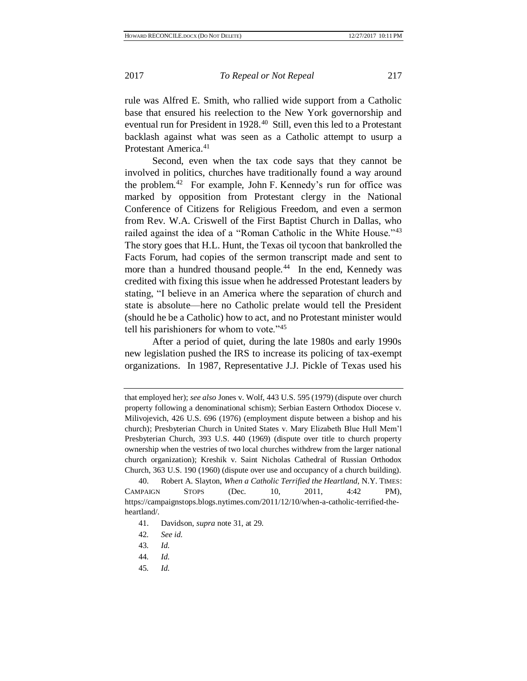rule was Alfred E. Smith, who rallied wide support from a Catholic base that ensured his reelection to the New York governorship and eventual run for President in 1928.<sup>40</sup> Still, even this led to a Protestant backlash against what was seen as a Catholic attempt to usurp a Protestant America.<sup>41</sup>

Second, even when the tax code says that they cannot be involved in politics, churches have traditionally found a way around the problem.<sup>42</sup> For example, John F. Kennedy's run for office was marked by opposition from Protestant clergy in the National Conference of Citizens for Religious Freedom, and even a sermon from Rev. W.A. Criswell of the First Baptist Church in Dallas, who railed against the idea of a "Roman Catholic in the White House."<sup>43</sup> The story goes that H.L. Hunt, the Texas oil tycoon that bankrolled the Facts Forum, had copies of the sermon transcript made and sent to more than a hundred thousand people.<sup>44</sup> In the end, Kennedy was credited with fixing this issue when he addressed Protestant leaders by stating, "I believe in an America where the separation of church and state is absolute—here no Catholic prelate would tell the President (should he be a Catholic) how to act, and no Protestant minister would tell his parishioners for whom to vote."<sup>45</sup>

After a period of quiet, during the late 1980s and early 1990s new legislation pushed the IRS to increase its policing of tax-exempt organizations. In 1987, Representative J.J. Pickle of Texas used his

45*. Id.*

that employed her); *see also* Jones v. Wolf, 443 U.S. 595 (1979) (dispute over church property following a denominational schism); Serbian Eastern Orthodox Diocese v. Milivojevich, 426 U.S. 696 (1976) (employment dispute between a bishop and his church); Presbyterian Church in United States v. Mary Elizabeth Blue Hull Mem'l Presbyterian Church, 393 U.S. 440 (1969) (dispute over title to church property ownership when the vestries of two local churches withdrew from the larger national church organization); Kreshik v. Saint Nicholas Cathedral of Russian Orthodox Church, 363 U.S. 190 (1960) (dispute over use and occupancy of a church building).

<sup>40.</sup> Robert A. Slayton, *When a Catholic Terrified the Heartland*, N.Y. TIMES: CAMPAIGN STOPS (Dec. 10, 2011, 4:42 PM), https://campaignstops.blogs.nytimes.com/2011/12/10/when-a-catholic-terrified-theheartland/.

<sup>41.</sup> Davidson, *supra* note [31,](#page-6-2) at 29.

<sup>42</sup>*. See id.*

<sup>43</sup>*. Id.*

<sup>44</sup>*. Id.*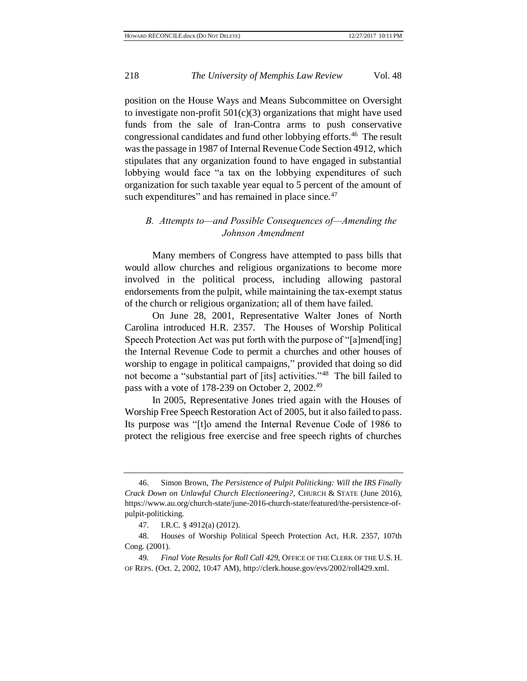position on the House Ways and Means Subcommittee on Oversight to investigate non-profit  $501(c)(3)$  organizations that might have used funds from the sale of Iran-Contra arms to push conservative congressional candidates and fund other lobbying efforts.<sup>46</sup> The result was the passage in 1987 of Internal Revenue Code Section 4912, which stipulates that any organization found to have engaged in substantial lobbying would face "a tax on the lobbying expenditures of such organization for such taxable year equal to 5 percent of the amount of such expenditures" and has remained in place since.<sup>47</sup>

## *B. Attempts to—and Possible Consequences of—Amending the Johnson Amendment*

Many members of Congress have attempted to pass bills that would allow churches and religious organizations to become more involved in the political process, including allowing pastoral endorsements from the pulpit, while maintaining the tax-exempt status of the church or religious organization; all of them have failed.

On June 28, 2001, Representative Walter Jones of North Carolina introduced H.R. 2357. The Houses of Worship Political Speech Protection Act was put forth with the purpose of "[a]mend[ing] the Internal Revenue Code to permit a churches and other houses of worship to engage in political campaigns," provided that doing so did not become a "substantial part of [its] activities."<sup>48</sup> The bill failed to pass with a vote of 178-239 on October 2, 2002.<sup>49</sup>

In 2005, Representative Jones tried again with the Houses of Worship Free Speech Restoration Act of 2005, but it also failed to pass. Its purpose was "[t]o amend the Internal Revenue Code of 1986 to protect the religious free exercise and free speech rights of churches

<sup>46.</sup> Simon Brown, *The Persistence of Pulpit Politicking: Will the IRS Finally Crack Down on Unlawful Church Electioneering?*, CHURCH & STATE (June 2016), https://www.au.org/church-state/june-2016-church-state/featured/the-persistence-ofpulpit-politicking.

<sup>47.</sup> I.R.C. § 4912(a) (2012).

<sup>48.</sup> Houses of Worship Political Speech Protection Act, H.R. 2357, 107th Cong. (2001).

<sup>49</sup>*. Final Vote Results for Roll Call 429*, OFFICE OF THE CLERK OF THE U.S. H. OF REPS. (Oct. 2, 2002, 10:47 AM), http://clerk.house.gov/evs/2002/roll429.xml.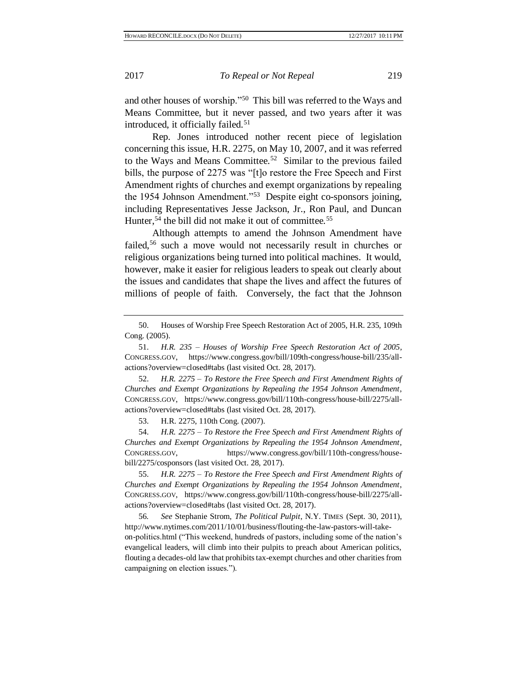and other houses of worship."<sup>50</sup> This bill was referred to the Ways and Means Committee, but it never passed, and two years after it was introduced, it officially failed.<sup>51</sup>

Rep. Jones introduced nother recent piece of legislation concerning this issue, H.R. 2275, on May 10, 2007, and it was referred to the Ways and Means Committee.<sup>52</sup> Similar to the previous failed bills, the purpose of 2275 was "[t]o restore the Free Speech and First Amendment rights of churches and exempt organizations by repealing the 1954 Johnson Amendment."<sup>53</sup> Despite eight co-sponsors joining, including Representatives Jesse Jackson, Jr., Ron Paul, and Duncan Hunter,<sup>54</sup> the bill did not make it out of committee.<sup>55</sup>

<span id="page-10-0"></span>Although attempts to amend the Johnson Amendment have failed,<sup>56</sup> such a move would not necessarily result in churches or religious organizations being turned into political machines. It would, however, make it easier for religious leaders to speak out clearly about the issues and candidates that shape the lives and affect the futures of millions of people of faith. Conversely, the fact that the Johnson

52. *H.R. 2275 – To Restore the Free Speech and First Amendment Rights of Churches and Exempt Organizations by Repealing the 1954 Johnson Amendment*, CONGRESS.GOV, https://www.congress.gov/bill/110th-congress/house-bill/2275/allactions?overview=closed#tabs (last visited Oct. 28, 2017).

53. H.R. 2275, 110th Cong. (2007).

54. *H.R. 2275 – To Restore the Free Speech and First Amendment Rights of Churches and Exempt Organizations by Repealing the 1954 Johnson Amendment*, CONGRESS.GOV, https://www.congress.gov/bill/110th-congress/housebill/2275/cosponsors (last visited Oct. 28, 2017).

56*. See* Stephanie Strom, *The Political Pulpit*, N.Y. TIMES (Sept. 30, 2011), http://www.nytimes.com/2011/10/01/business/flouting-the-law-pastors-will-takeon-politics.html ("This weekend, hundreds of pastors, including some of the nation's evangelical leaders, will climb into their pulpits to preach about American politics, flouting a decades-old law that prohibits tax-exempt churches and other charities from campaigning on election issues.").

<sup>50.</sup> Houses of Worship Free Speech Restoration Act of 2005, H.R. 235, 109th Cong. (2005).

<sup>51.</sup> *H.R. 235 – Houses of Worship Free Speech Restoration Act of 2005*, CONGRESS.GOV, https://www.congress.gov/bill/109th-congress/house-bill/235/allactions?overview=closed#tabs (last visited Oct. 28, 2017).

<sup>55.</sup> *H.R. 2275 – To Restore the Free Speech and First Amendment Rights of Churches and Exempt Organizations by Repealing the 1954 Johnson Amendment*, CONGRESS.GOV, https://www.congress.gov/bill/110th-congress/house-bill/2275/allactions?overview=closed#tabs (last visited Oct. 28, 2017).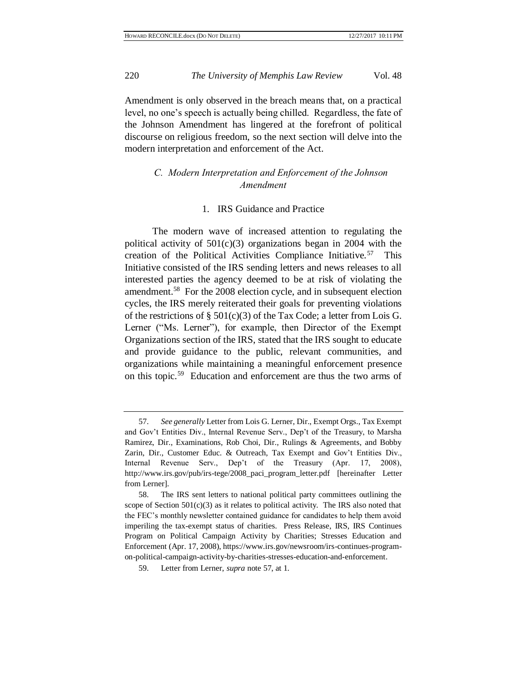Amendment is only observed in the breach means that, on a practical level, no one's speech is actually being chilled. Regardless, the fate of the Johnson Amendment has lingered at the forefront of political discourse on religious freedom, so the next section will delve into the modern interpretation and enforcement of the Act.

# *C. Modern Interpretation and Enforcement of the Johnson Amendment*

## <span id="page-11-0"></span>1. IRS Guidance and Practice

The modern wave of increased attention to regulating the political activity of  $501(c)(3)$  organizations began in 2004 with the creation of the Political Activities Compliance Initiative.<sup>57</sup> This Initiative consisted of the IRS sending letters and news releases to all interested parties the agency deemed to be at risk of violating the amendment.<sup>58</sup> For the 2008 election cycle, and in subsequent election cycles, the IRS merely reiterated their goals for preventing violations of the restrictions of §  $501(c)(3)$  of the Tax Code; a letter from Lois G. Lerner ("Ms. Lerner"), for example, then Director of the Exempt Organizations section of the IRS, stated that the IRS sought to educate and provide guidance to the public, relevant communities, and organizations while maintaining a meaningful enforcement presence on this topic.<sup>59</sup> Education and enforcement are thus the two arms of

<sup>57.</sup> *See generally* Letter from Lois G. Lerner, Dir., Exempt Orgs., Tax Exempt and Gov't Entities Div., Internal Revenue Serv., Dep't of the Treasury, to Marsha Ramirez, Dir., Examinations, Rob Choi, Dir., Rulings & Agreements, and Bobby Zarin, Dir., Customer Educ. & Outreach, Tax Exempt and Gov't Entities Div., Internal Revenue Serv., Dep't of the Treasury (Apr. 17, 2008), http://www.irs.gov/pub/irs-tege/2008\_paci\_program\_letter.pdf [hereinafter Letter from Lerner].

<sup>58.</sup> The IRS sent letters to national political party committees outlining the scope of Section  $501(c)(3)$  as it relates to political activity. The IRS also noted that the FEC's monthly newsletter contained guidance for candidates to help them avoid imperiling the tax-exempt status of charities. Press Release, IRS, IRS Continues Program on Political Campaign Activity by Charities; Stresses Education and Enforcement (Apr. 17, 2008), https://www.irs.gov/newsroom/irs-continues-programon-political-campaign-activity-by-charities-stresses-education-and-enforcement.

<sup>59.</sup> Letter from Lerner, *supra* not[e 57,](#page-11-0) at 1.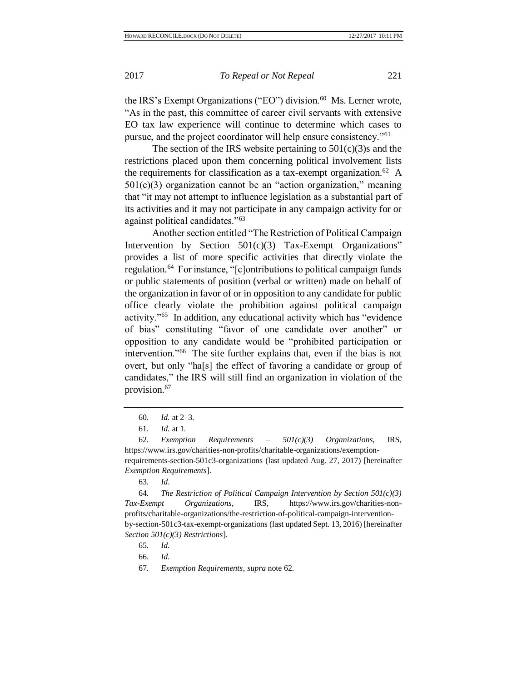the IRS's Exempt Organizations ("EO") division.<sup>60</sup> Ms. Lerner wrote, "As in the past, this committee of career civil servants with extensive EO tax law experience will continue to determine which cases to pursue, and the project coordinator will help ensure consistency."<sup>61</sup>

<span id="page-12-0"></span>The section of the IRS website pertaining to  $501(c)(3)$ s and the restrictions placed upon them concerning political involvement lists the requirements for classification as a tax-exempt organization.<sup>62</sup> A  $501(c)(3)$  organization cannot be an "action organization," meaning that "it may not attempt to influence legislation as a substantial part of its activities and it may not participate in any campaign activity for or against political candidates."<sup>63</sup>

<span id="page-12-1"></span>Another section entitled "The Restriction of Political Campaign Intervention by Section 501(c)(3) Tax-Exempt Organizations" provides a list of more specific activities that directly violate the regulation.<sup>64</sup> For instance, "[c]ontributions to political campaign funds or public statements of position (verbal or written) made on behalf of the organization in favor of or in opposition to any candidate for public office clearly violate the prohibition against political campaign activity."<sup>65</sup> In addition, any educational activity which has "evidence of bias" constituting "favor of one candidate over another" or opposition to any candidate would be "prohibited participation or intervention."<sup>66</sup> The site further explains that, even if the bias is not overt, but only "ha[s] the effect of favoring a candidate or group of candidates," the IRS will still find an organization in violation of the provision.<sup>67</sup>

67*. Exemption Requirements*, *supra* not[e 62.](#page-12-0)

<sup>60</sup>*. Id.* at 2–3.

<sup>61</sup>*. Id.* at 1.

<sup>62</sup>*. Exemption Requirements – 501(c)(3) Organizations*, IRS, https://www.irs.gov/charities-non-profits/charitable-organizations/exemptionrequirements-section-501c3-organizations (last updated Aug. 27, 2017) [hereinafter *Exemption Requirements*].

<sup>63</sup>*. Id*.

<sup>64</sup>*. The Restriction of Political Campaign Intervention by Section 501(c)(3) Tax-Exempt Organizations*, IRS, https://www.irs.gov/charities-nonprofits/charitable-organizations/the-restriction-of-political-campaign-interventionby-section-501c3-tax-exempt-organizations (last updated Sept. 13, 2016) [hereinafter *Section 501(c)(3) Restrictions*].

<sup>65</sup>*. Id.*

<sup>66</sup>*. Id.*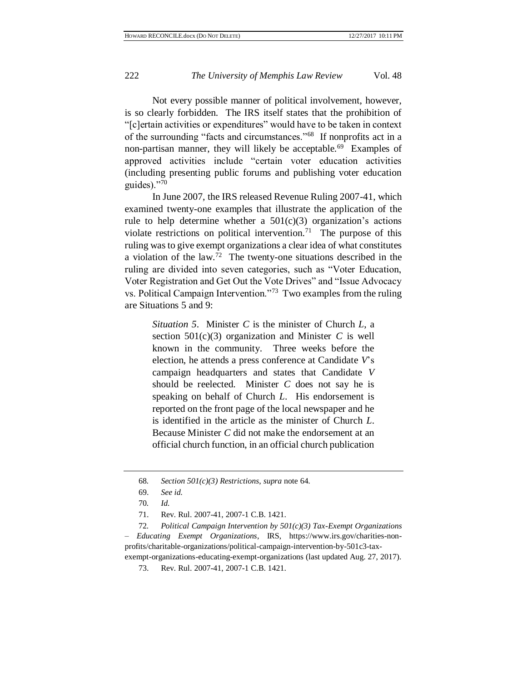Not every possible manner of political involvement, however, is so clearly forbidden. The IRS itself states that the prohibition of "[c]ertain activities or expenditures" would have to be taken in context of the surrounding "facts and circumstances."<sup>68</sup> If nonprofits act in a non-partisan manner, they will likely be acceptable.<sup>69</sup> Examples of approved activities include "certain voter education activities (including presenting public forums and publishing voter education guides)."<sup>70</sup>

In June 2007, the IRS released Revenue Ruling 2007-41, which examined twenty-one examples that illustrate the application of the rule to help determine whether a  $501(c)(3)$  organization's actions violate restrictions on political intervention.<sup>71</sup> The purpose of this ruling was to give exempt organizations a clear idea of what constitutes a violation of the law.<sup>72</sup> The twenty-one situations described in the ruling are divided into seven categories, such as "Voter Education, Voter Registration and Get Out the Vote Drives" and "Issue Advocacy vs. Political Campaign Intervention."<sup>73</sup> Two examples from the ruling are Situations 5 and 9:

<span id="page-13-0"></span>*Situation 5*. Minister *C* is the minister of Church *L*, a section  $501(c)(3)$  organization and Minister C is well known in the community. Three weeks before the election, he attends a press conference at Candidate *V*'s campaign headquarters and states that Candidate *V* should be reelected. Minister *C* does not say he is speaking on behalf of Church *L*. His endorsement is reported on the front page of the local newspaper and he is identified in the article as the minister of Church *L*. Because Minister *C* did not make the endorsement at an official church function, in an official church publication

*– Educating Exempt Organizations*, IRS, https://www.irs.gov/charities-nonprofits/charitable-organizations/political-campaign-intervention-by-501c3-taxexempt-organizations-educating-exempt-organizations (last updated Aug. 27, 2017).

<sup>68</sup>*. Section 501(c)(3) Restrictions*, *supra* not[e 64.](#page-12-1)

<sup>69.</sup> *See id.*

<sup>70</sup>*. Id.*

<sup>71.</sup> Rev. Rul. 2007-41, 2007-1 C.B. 1421.

<sup>72</sup>*. Political Campaign Intervention by 501(c)(3) Tax-Exempt Organizations* 

<sup>73.</sup> Rev. Rul. 2007-41, 2007-1 C.B. 1421.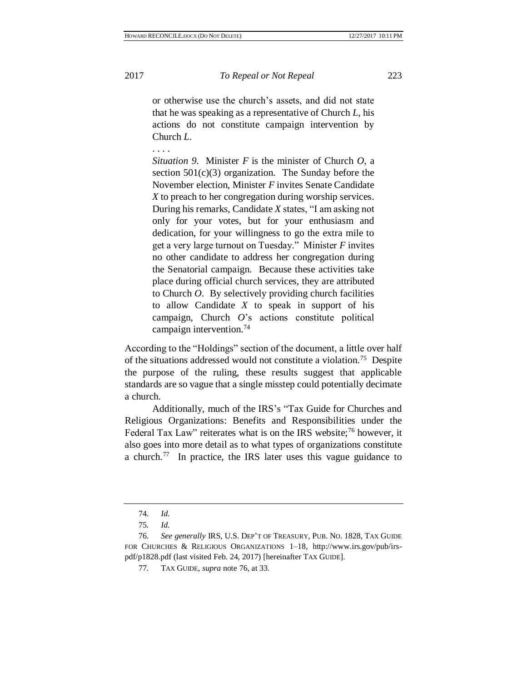or otherwise use the church's assets, and did not state that he was speaking as a representative of Church *L*, his actions do not constitute campaign intervention by Church *L*.

. . . .

*Situation 9*. Minister *F* is the minister of Church *O*, a section  $501(c)(3)$  organization. The Sunday before the November election, Minister *F* invites Senate Candidate *X* to preach to her congregation during worship services. During his remarks, Candidate *X* states, "I am asking not only for your votes, but for your enthusiasm and dedication, for your willingness to go the extra mile to get a very large turnout on Tuesday." Minister *F* invites no other candidate to address her congregation during the Senatorial campaign. Because these activities take place during official church services, they are attributed to Church *O*. By selectively providing church facilities to allow Candidate *X* to speak in support of his campaign, Church *O*'s actions constitute political campaign intervention.<sup>74</sup>

According to the "Holdings" section of the document, a little over half of the situations addressed would not constitute a violation.<sup>75</sup> Despite the purpose of the ruling, these results suggest that applicable standards are so vague that a single misstep could potentially decimate a church.

<span id="page-14-0"></span>Additionally, much of the IRS's "Tax Guide for Churches and Religious Organizations: Benefits and Responsibilities under the Federal Tax Law" reiterates what is on the IRS website;<sup>76</sup> however, it also goes into more detail as to what types of organizations constitute a church.<sup>77</sup> In practice, the IRS later uses this vague guidance to

<sup>74</sup>*. Id.*

<sup>75</sup>*. Id.*

<sup>76.</sup> *See generally* IRS, U.S. DEP'T OF TREASURY, PUB. NO. 1828, TAX GUIDE FOR CHURCHES & RELIGIOUS ORGANIZATIONS 1–18, http://www.irs.gov/pub/irspdf/p1828.pdf (last visited Feb. 24, 2017) [hereinafter TAX GUIDE].

<sup>77</sup>*.* TAX GUIDE, *supra* note [76,](#page-14-0) at 33.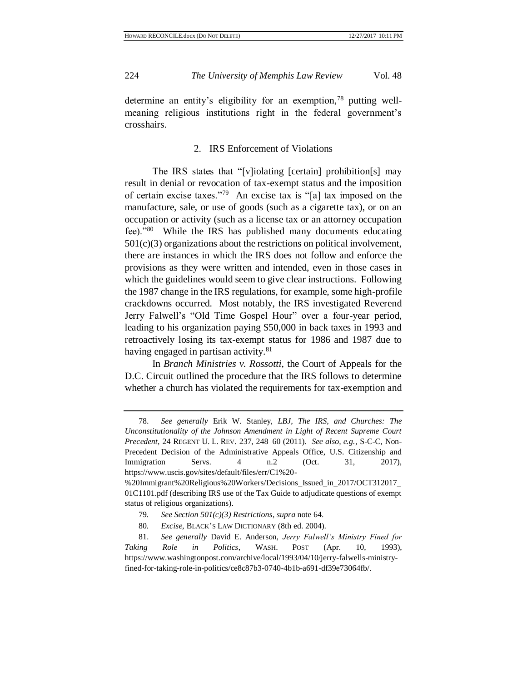determine an entity's eligibility for an exemption,<sup>78</sup> putting wellmeaning religious institutions right in the federal government's crosshairs.

## 2. IRS Enforcement of Violations

The IRS states that "[v]iolating [certain] prohibition[s] may result in denial or revocation of tax-exempt status and the imposition of certain excise taxes."<sup>79</sup> An excise tax is "[a] tax imposed on the manufacture, sale, or use of goods (such as a cigarette tax), or on an occupation or activity (such as a license tax or an attorney occupation fee)."<sup>80</sup> While the IRS has published many documents educating  $501(c)(3)$  organizations about the restrictions on political involvement, there are instances in which the IRS does not follow and enforce the provisions as they were written and intended, even in those cases in which the guidelines would seem to give clear instructions. Following the 1987 change in the IRS regulations, for example, some high-profile crackdowns occurred. Most notably, the IRS investigated Reverend Jerry Falwell's "Old Time Gospel Hour" over a four-year period, leading to his organization paying \$50,000 in back taxes in 1993 and retroactively losing its tax-exempt status for 1986 and 1987 due to having engaged in partisan activity.<sup>81</sup>

In *Branch Ministries v. Rossotti*, the Court of Appeals for the D.C. Circuit outlined the procedure that the IRS follows to determine whether a church has violated the requirements for tax-exemption and

<sup>78.</sup> *See generally* Erik W. Stanley, *LBJ, The IRS, and Churches: The Unconstitutionality of the Johnson Amendment in Light of Recent Supreme Court Precedent*, 24 REGENT U. L. REV. 237, 248–60 (2011). *See also, e.g.*, S-C-C, Non-Precedent Decision of the Administrative Appeals Office, U.S. Citizenship and Immigration Servs. 4 n.2 (Oct. 31, 2017), https://www.uscis.gov/sites/default/files/err/C1%20-

<sup>%20</sup>Immigrant%20Religious%20Workers/Decisions\_Issued\_in\_2017/OCT312017\_ 01C1101.pdf (describing IRS use of the Tax Guide to adjudicate questions of exempt status of religious organizations).

<sup>79</sup>*. See Section 501(c)(3) Restrictions*, *supra* note [64.](#page-12-1)

<sup>80</sup>*. Excise*, BLACK'S LAW DICTIONARY (8th ed. 2004).

<sup>81.</sup> *See generally* David E. Anderson, *Jerry Falwell's Ministry Fined for Taking Role in Politics*, WASH. POST (Apr. 10, 1993), https://www.washingtonpost.com/archive/local/1993/04/10/jerry-falwells-ministryfined-for-taking-role-in-politics/ce8c87b3-0740-4b1b-a691-df39e73064fb/.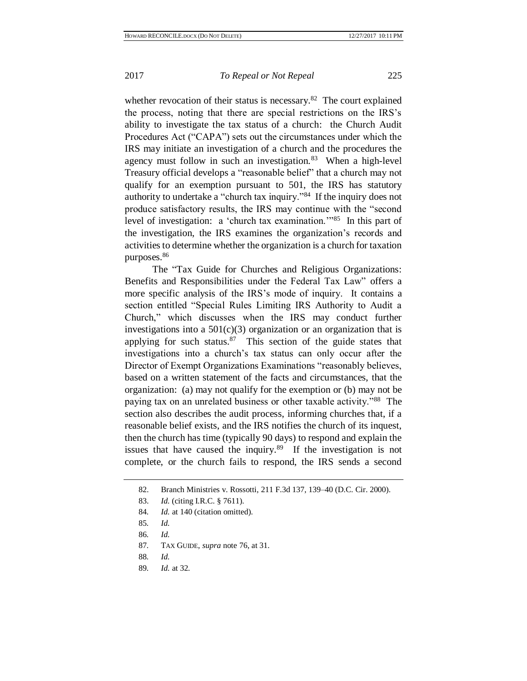whether revocation of their status is necessary. $82$  The court explained the process, noting that there are special restrictions on the IRS's ability to investigate the tax status of a church: the Church Audit Procedures Act ("CAPA") sets out the circumstances under which the IRS may initiate an investigation of a church and the procedures the agency must follow in such an investigation.<sup>83</sup> When a high-level Treasury official develops a "reasonable belief" that a church may not qualify for an exemption pursuant to 501, the IRS has statutory authority to undertake a "church tax inquiry."<sup>84</sup> If the inquiry does not produce satisfactory results, the IRS may continue with the "second level of investigation: a 'church tax examination.'"<sup>85</sup> In this part of the investigation, the IRS examines the organization's records and activities to determine whether the organization is a church for taxation purposes.<sup>86</sup>

The "Tax Guide for Churches and Religious Organizations: Benefits and Responsibilities under the Federal Tax Law" offers a more specific analysis of the IRS's mode of inquiry. It contains a section entitled "Special Rules Limiting IRS Authority to Audit a Church," which discusses when the IRS may conduct further investigations into a  $501(c)(3)$  organization or an organization that is applying for such status. $87$  This section of the guide states that investigations into a church's tax status can only occur after the Director of Exempt Organizations Examinations "reasonably believes, based on a written statement of the facts and circumstances, that the organization: (a) may not qualify for the exemption or (b) may not be paying tax on an unrelated business or other taxable activity."<sup>88</sup> The section also describes the audit process, informing churches that, if a reasonable belief exists, and the IRS notifies the church of its inquest, then the church has time (typically 90 days) to respond and explain the issues that have caused the inquiry.<sup>89</sup> If the investigation is not complete, or the church fails to respond, the IRS sends a second

<sup>82.</sup> Branch Ministries v. Rossotti, 211 F.3d 137, 139–40 (D.C. Cir. 2000).

<sup>83.</sup> *Id.* (citing I.R.C. § 7611).

<sup>84</sup>*. Id.* at 140 (citation omitted).

<sup>85</sup>*. Id.*

<sup>86</sup>*. Id.*

<sup>87</sup>*.* TAX GUIDE, *supra* note [76,](#page-14-0) at 31.

<sup>88</sup>*. Id.*

<sup>89</sup>*. Id.* at 32.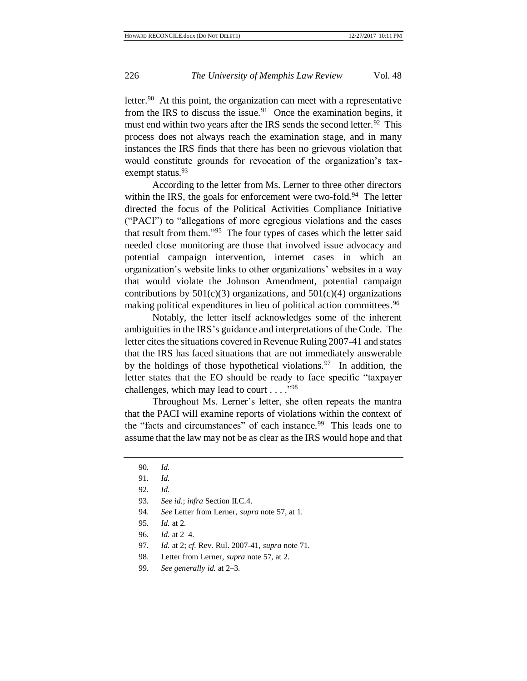letter.<sup>90</sup> At this point, the organization can meet with a representative from the IRS to discuss the issue.<sup>91</sup> Once the examination begins, it must end within two years after the IRS sends the second letter.<sup>92</sup> This process does not always reach the examination stage, and in many instances the IRS finds that there has been no grievous violation that would constitute grounds for revocation of the organization's taxexempt status.<sup>93</sup>

According to the letter from Ms. Lerner to three other directors within the IRS, the goals for enforcement were two-fold.<sup>94</sup> The letter directed the focus of the Political Activities Compliance Initiative ("PACI") to "allegations of more egregious violations and the cases that result from them."<sup>95</sup> The four types of cases which the letter said needed close monitoring are those that involved issue advocacy and potential campaign intervention, internet cases in which an organization's website links to other organizations' websites in a way that would violate the Johnson Amendment, potential campaign contributions by  $501(c)(3)$  organizations, and  $501(c)(4)$  organizations making political expenditures in lieu of political action committees.<sup>96</sup>

Notably, the letter itself acknowledges some of the inherent ambiguities in the IRS's guidance and interpretations of the Code. The letter cites the situations covered in Revenue Ruling 2007-41 and states that the IRS has faced situations that are not immediately answerable by the holdings of those hypothetical violations.<sup>97</sup> In addition, the letter states that the EO should be ready to face specific "taxpayer challenges, which may lead to court  $\dots$ ."<sup>98</sup>

Throughout Ms. Lerner's letter, she often repeats the mantra that the PACI will examine reports of violations within the context of the "facts and circumstances" of each instance.<sup>99</sup> This leads one to assume that the law may not be as clear as the IRS would hope and that

- 94. *See* Letter from Lerner, *supra* not[e 57,](#page-11-0) at 1.
- 95*. Id.* at 2.
- 96*. Id.* at 2–4.
- 97*. Id.* at 2; *cf.* Rev. Rul. 2007-41, *supra* note [71.](#page-13-0)
- 98. Letter from Lerner, *supra* not[e 57,](#page-11-0) at 2.
- 99*. See generally id.* at 2–3.

<sup>90</sup>*. Id.*

<sup>91</sup>*. Id.*

<sup>92</sup>*. Id.*

<sup>93</sup>*. See id.*; *infra* Section II.C.4.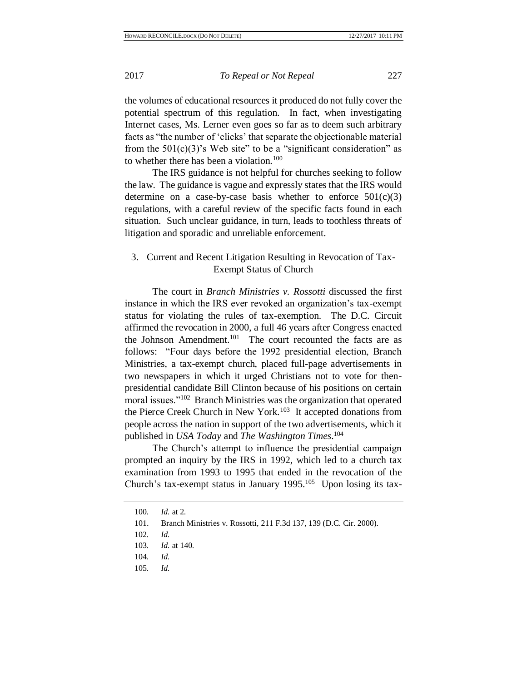the volumes of educational resources it produced do not fully cover the potential spectrum of this regulation. In fact, when investigating Internet cases, Ms. Lerner even goes so far as to deem such arbitrary facts as "the number of 'clicks' that separate the objectionable material from the  $501(c)(3)$ 's Web site" to be a "significant consideration" as to whether there has been a violation.<sup>100</sup>

The IRS guidance is not helpful for churches seeking to follow the law. The guidance is vague and expressly states that the IRS would determine on a case-by-case basis whether to enforce  $501(c)(3)$ regulations, with a careful review of the specific facts found in each situation. Such unclear guidance, in turn, leads to toothless threats of litigation and sporadic and unreliable enforcement.

## 3. Current and Recent Litigation Resulting in Revocation of Tax-Exempt Status of Church

The court in *Branch Ministries v. Rossotti* discussed the first instance in which the IRS ever revoked an organization's tax-exempt status for violating the rules of tax-exemption. The D.C. Circuit affirmed the revocation in 2000, a full 46 years after Congress enacted the Johnson Amendment. 101 The court recounted the facts are as follows: "Four days before the 1992 presidential election, Branch Ministries, a tax-exempt church, placed full-page advertisements in two newspapers in which it urged Christians not to vote for thenpresidential candidate Bill Clinton because of his positions on certain moral issues."<sup>102</sup> Branch Ministries was the organization that operated the Pierce Creek Church in New York.<sup>103</sup> It accepted donations from people across the nation in support of the two advertisements, which it published in *USA Today* and *The Washington Times*. 104

The Church's attempt to influence the presidential campaign prompted an inquiry by the IRS in 1992, which led to a church tax examination from 1993 to 1995 that ended in the revocation of the Church's tax-exempt status in January  $1995$ .<sup>105</sup> Upon losing its tax-

<sup>100</sup>*. Id.* at 2.

<sup>101.</sup> Branch Ministries v. Rossotti, 211 F.3d 137, 139 (D.C. Cir. 2000).

<sup>102</sup>*. Id.*

<sup>103</sup>*. Id.* at 140.

<sup>104</sup>*. Id.*

<sup>105</sup>*. Id.*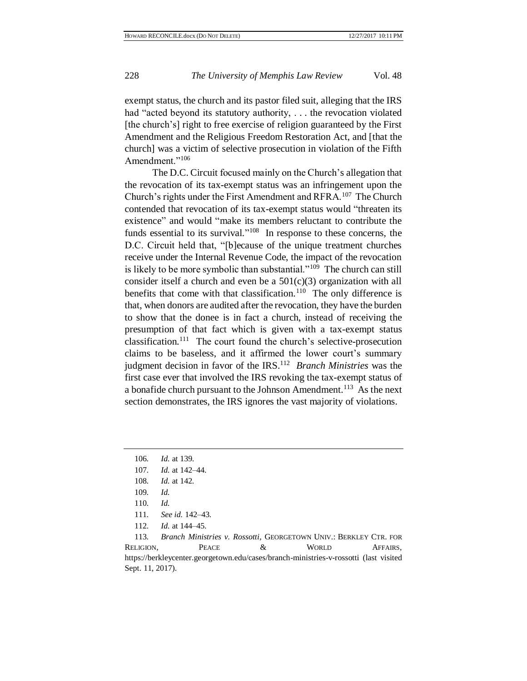exempt status, the church and its pastor filed suit, alleging that the IRS had "acted beyond its statutory authority, . . . the revocation violated [the church's] right to free exercise of religion guaranteed by the First Amendment and the Religious Freedom Restoration Act, and [that the church] was a victim of selective prosecution in violation of the Fifth Amendment."<sup>106</sup>

The D.C. Circuit focused mainly on the Church's allegation that the revocation of its tax-exempt status was an infringement upon the Church's rights under the First Amendment and RFRA.<sup>107</sup> The Church contended that revocation of its tax-exempt status would "threaten its existence" and would "make its members reluctant to contribute the funds essential to its survival."<sup>108</sup> In response to these concerns, the D.C. Circuit held that, "[b]ecause of the unique treatment churches receive under the Internal Revenue Code, the impact of the revocation is likely to be more symbolic than substantial."<sup>109</sup> The church can still consider itself a church and even be a  $501(c)(3)$  organization with all benefits that come with that classification.<sup>110</sup> The only difference is that, when donors are audited after the revocation, they have the burden to show that the donee is in fact a church, instead of receiving the presumption of that fact which is given with a tax-exempt status classification.<sup>111</sup> The court found the church's selective-prosecution claims to be baseless, and it affirmed the lower court's summary judgment decision in favor of the IRS.<sup>112</sup> Branch Ministries was the first case ever that involved the IRS revoking the tax-exempt status of a bonafide church pursuant to the Johnson Amendment.<sup>113</sup> As the next section demonstrates, the IRS ignores the vast majority of violations.

113*. Branch Ministries v. Rossotti*, GEORGETOWN UNIV.: BERKLEY CTR. FOR RELIGION, **PEACE** & WORLD AFFAIRS, https://berkleycenter.georgetown.edu/cases/branch-ministries-v-rossotti (last visited Sept. 11, 2017).

<sup>106</sup>*. Id.* at 139.

<sup>107</sup>*. Id.* at 142–44.

<sup>108</sup>*. Id.* at 142.

<sup>109</sup>*. Id.*

<sup>110</sup>*. Id.*

<sup>111</sup>*. See id.* 142–43.

<sup>112</sup>*. Id.* at 144–45.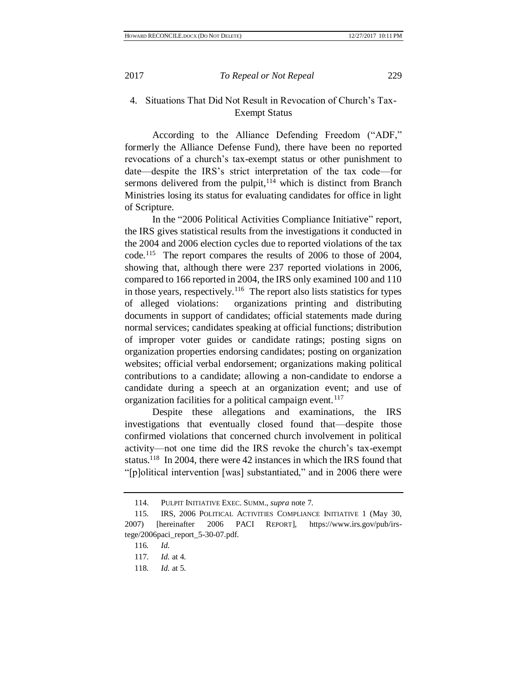# 4. Situations That Did Not Result in Revocation of Church's Tax-Exempt Status

According to the Alliance Defending Freedom ("ADF," formerly the Alliance Defense Fund), there have been no reported revocations of a church's tax-exempt status or other punishment to date—despite the IRS's strict interpretation of the tax code—for sermons delivered from the pulpit, $114$  which is distinct from Branch Ministries losing its status for evaluating candidates for office in light of Scripture.

<span id="page-20-0"></span>In the "2006 Political Activities Compliance Initiative" report, the IRS gives statistical results from the investigations it conducted in the 2004 and 2006 election cycles due to reported violations of the tax code.<sup>115</sup> The report compares the results of 2006 to those of 2004, showing that, although there were 237 reported violations in 2006, compared to 166 reported in 2004, the IRS only examined 100 and 110 in those years, respectively.<sup>116</sup> The report also lists statistics for types of alleged violations: organizations printing and distributing documents in support of candidates; official statements made during normal services; candidates speaking at official functions; distribution of improper voter guides or candidate ratings; posting signs on organization properties endorsing candidates; posting on organization websites; official verbal endorsement; organizations making political contributions to a candidate; allowing a non-candidate to endorse a candidate during a speech at an organization event; and use of organization facilities for a political campaign event.<sup>117</sup>

Despite these allegations and examinations, the IRS investigations that eventually closed found that—despite those confirmed violations that concerned church involvement in political activity—not one time did the IRS revoke the church's tax-exempt status.<sup>118</sup> In 2004, there were 42 instances in which the IRS found that "[p]olitical intervention [was] substantiated," and in 2006 there were

<sup>114.</sup> PULPIT INITIATIVE EXEC. SUMM., *supra* note [7.](#page-3-1)

<sup>115.</sup> IRS, 2006 POLITICAL ACTIVITIES COMPLIANCE INITIATIVE 1 (May 30, 2007) [hereinafter 2006 PACI REPORT], https://www.irs.gov/pub/irstege/2006paci\_report\_5-30-07.pdf.

<sup>116</sup>*. Id.*

<sup>117</sup>*. Id.* at 4.

<sup>118</sup>*. Id.* at 5.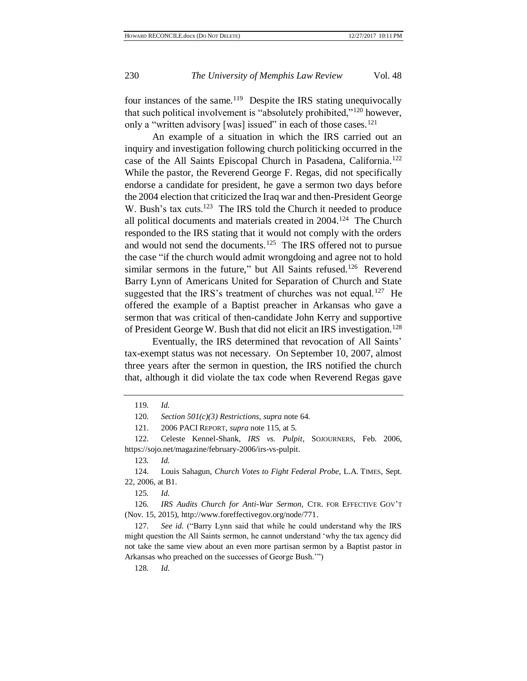four instances of the same.<sup>119</sup> Despite the IRS stating unequivocally that such political involvement is "absolutely prohibited,"<sup>120</sup> however, only a "written advisory [was] issued" in each of those cases.<sup>121</sup>

<span id="page-21-0"></span>An example of a situation in which the IRS carried out an inquiry and investigation following church politicking occurred in the case of the All Saints Episcopal Church in Pasadena, California.<sup>122</sup> While the pastor, the Reverend George F. Regas, did not specifically endorse a candidate for president, he gave a sermon two days before the 2004 election that criticized the Iraq war and then-President George W. Bush's tax cuts.<sup>123</sup> The IRS told the Church it needed to produce all political documents and materials created in 2004.<sup>124</sup> The Church responded to the IRS stating that it would not comply with the orders and would not send the documents.<sup>125</sup> The IRS offered not to pursue the case "if the church would admit wrongdoing and agree not to hold similar sermons in the future," but All Saints refused.<sup>126</sup> Reverend Barry Lynn of Americans United for Separation of Church and State suggested that the IRS's treatment of churches was not equal.<sup>127</sup> He offered the example of a Baptist preacher in Arkansas who gave a sermon that was critical of then-candidate John Kerry and supportive of President George W. Bush that did not elicit an IRS investigation.<sup>128</sup>

Eventually, the IRS determined that revocation of All Saints' tax-exempt status was not necessary. On September 10, 2007, almost three years after the sermon in question, the IRS notified the church that, although it did violate the tax code when Reverend Regas gave

123*. Id.*

125*. Id.*

126*. IRS Audits Church for Anti-War Sermon*, CTR. FOR EFFECTIVE GOV'T (Nov. 15, 2015), http://www.foreffectivegov.org/node/771.

127*. See id.* ("Barry Lynn said that while he could understand why the IRS might question the All Saints sermon, he cannot understand 'why the tax agency did not take the same view about an even more partisan sermon by a Baptist pastor in Arkansas who preached on the successes of George Bush.'")

128*. Id.*

<sup>119</sup>*. Id.*

<sup>120</sup>*. Section 501(c)(3) Restrictions*, *supra* not[e 64.](#page-12-1)

<sup>121.</sup> 2006 PACI REPORT, *supra* not[e 115,](#page-20-0) at 5.

<sup>122.</sup> Celeste Kennel-Shank, *IRS vs. Pulpit*, SOJOURNERS, Feb. 2006, https://sojo.net/magazine/february-2006/irs-vs-pulpit.

<sup>124.</sup> Louis Sahagun, *Church Votes to Fight Federal Probe*, L.A. TIMES, Sept. 22, 2006, at B1.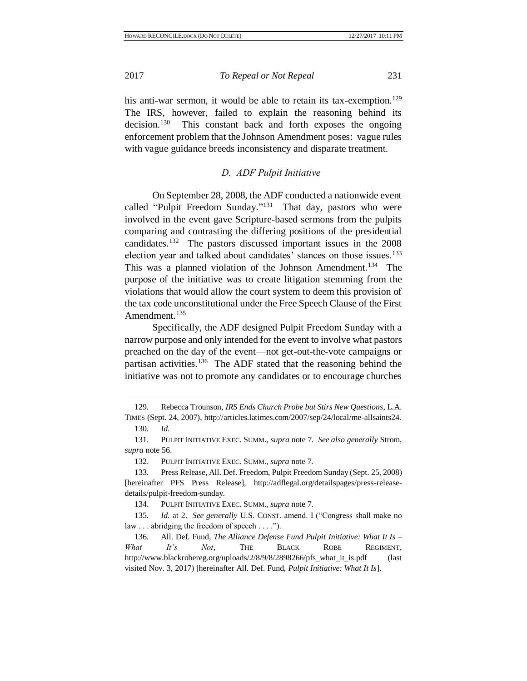<span id="page-22-1"></span>his anti-war sermon, it would be able to retain its tax-exemption.<sup>129</sup> The IRS, however, failed to explain the reasoning behind its decision.<sup>130</sup> This constant back and forth exposes the ongoing enforcement problem that the Johnson Amendment poses: vague rules with vague guidance breeds inconsistency and disparate treatment.

## <span id="page-22-0"></span>*D. ADF Pulpit Initiative*

On September 28, 2008, the ADF conducted a nationwide event called "Pulpit Freedom Sunday."<sup>131</sup> That day, pastors who were involved in the event gave Scripture-based sermons from the pulpits comparing and contrasting the differing positions of the presidential candidates. 132 The pastors discussed important issues in the 2008 election year and talked about candidates' stances on those issues.<sup>133</sup> This was a planned violation of the Johnson Amendment.<sup>134</sup> The purpose of the initiative was to create litigation stemming from the violations that would allow the court system to deem this provision of the tax code unconstitutional under the Free Speech Clause of the First Amendment.<sup>135</sup>

Specifically, the ADF designed Pulpit Freedom Sunday with a narrow purpose and only intended for the event to involve what pastors preached on the day of the event—not get-out-the-vote campaigns or partisan activities.<sup>136</sup> The ADF stated that the reasoning behind the initiative was not to promote any candidates or to encourage churches

<sup>129</sup>*.* Rebecca Trounson, *IRS Ends Church Probe but Stirs New Questions*, L.A. TIMES (Sept. 24, 2007), http://articles.latimes.com/2007/sep/24/local/me-allsaints24.

<sup>130</sup>*. Id.*

<sup>131.</sup> PULPIT INITIATIVE EXEC. SUMM., *supra* not[e 7.](#page-3-1) *See also generally* Strom, *supra* note [56.](#page-10-0)

<sup>132.</sup> PULPIT INITIATIVE EXEC. SUMM., *supra* note [7.](#page-3-1)

<sup>133</sup>*.* Press Release, All. Def. Freedom, Pulpit Freedom Sunday (Sept. 25, 2008) [hereinafter PFS Press Release], http://adflegal.org/detailspages/press-releasedetails/pulpit-freedom-sunday.

<sup>134.</sup> PULPIT INITIATIVE EXEC. SUMM., *supra* note [7.](#page-3-1)

<sup>135</sup>*. Id.* at 2. *See generally* U.S. CONST. amend. I ("Congress shall make no law . . . abridging the freedom of speech . . . .").

<sup>136</sup>*.* All. Def. Fund, *The Alliance Defense Fund Pulpit Initiative: What It Is – What It's Not*, THE BLACK ROBE REGIMENT, http://www.blackrobereg.org/uploads/2/8/9/8/2898266/pfs\_what\_it\_is.pdf (last visited Nov. 3, 2017) [hereinafter All. Def. Fund, *Pulpit Initiative: What It Is*].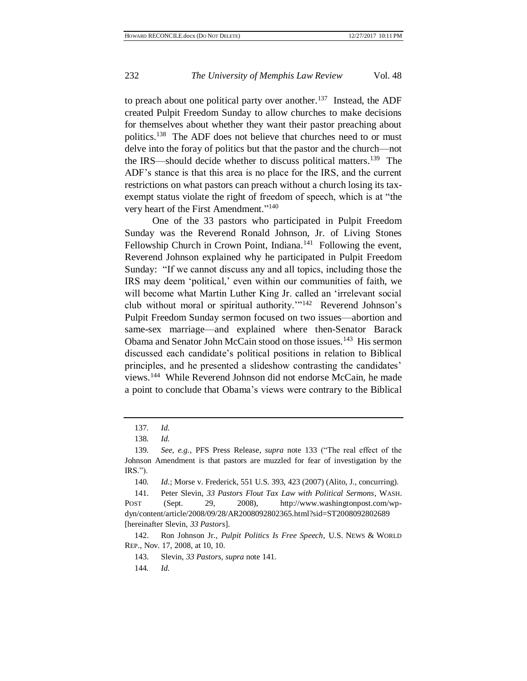to preach about one political party over another.<sup>137</sup> Instead, the ADF created Pulpit Freedom Sunday to allow churches to make decisions for themselves about whether they want their pastor preaching about politics.<sup>138</sup> The ADF does not believe that churches need to or must delve into the foray of politics but that the pastor and the church—not the IRS—should decide whether to discuss political matters. 139 The ADF's stance is that this area is no place for the IRS, and the current restrictions on what pastors can preach without a church losing its taxexempt status violate the right of freedom of speech, which is at "the very heart of the First Amendment."<sup>140</sup>

<span id="page-23-1"></span><span id="page-23-0"></span>One of the 33 pastors who participated in Pulpit Freedom Sunday was the Reverend Ronald Johnson, Jr. of Living Stones Fellowship Church in Crown Point, Indiana.<sup>141</sup> Following the event, Reverend Johnson explained why he participated in Pulpit Freedom Sunday: "If we cannot discuss any and all topics, including those the IRS may deem 'political,' even within our communities of faith, we will become what Martin Luther King Jr. called an 'irrelevant social club without moral or spiritual authority.'"<sup>142</sup> Reverend Johnson's Pulpit Freedom Sunday sermon focused on two issues—abortion and same-sex marriage—and explained where then-Senator Barack Obama and Senator John McCain stood on those issues.<sup>143</sup> His sermon discussed each candidate's political positions in relation to Biblical principles, and he presented a slideshow contrasting the candidates' views. 144 While Reverend Johnson did not endorse McCain, he made a point to conclude that Obama's views were contrary to the Biblical

<sup>137</sup>*. Id.*

<sup>138</sup>*. Id.*

<sup>139</sup>*. See, e.g.*, PFS Press Release, *supra* note [133](#page-22-0) ("The real effect of the Johnson Amendment is that pastors are muzzled for fear of investigation by the IRS.").

<sup>140</sup>*. Id.*; Morse v. Frederick, 551 U.S. 393, 423 (2007) (Alito, J., concurring).

<sup>141.</sup> Peter Slevin, *33 Pastors Flout Tax Law with Political Sermons*, WASH. POST (Sept. 29, 2008), http://www.washingtonpost.com/wpdyn/content/article/2008/09/28/AR2008092802365.html?sid=ST2008092802689 [hereinafter Slevin, *33 Pastors*].

<sup>142.</sup> Ron Johnson Jr., *Pulpit Politics Is Free Speech*, U.S. NEWS & WORLD REP., Nov. 17, 2008, at 10, 10.

<sup>143.</sup> Slevin, *33 Pastors*, *supra* not[e 141.](#page-23-0)

<sup>144</sup>*. Id.*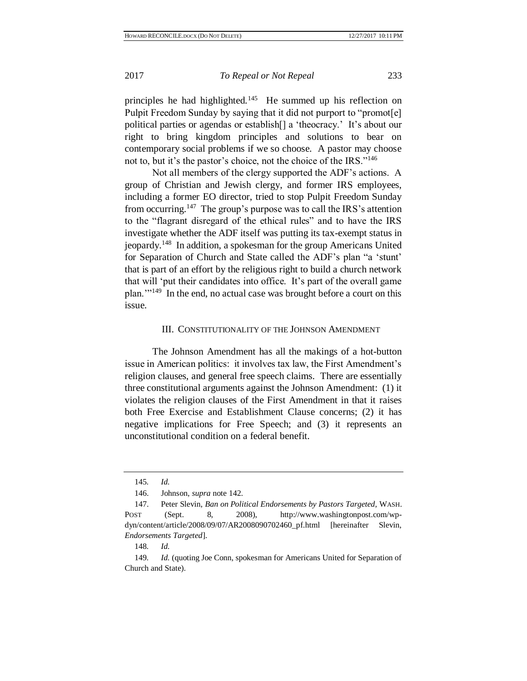principles he had highlighted.<sup>145</sup> He summed up his reflection on Pulpit Freedom Sunday by saying that it did not purport to "promot[e] political parties or agendas or establish[] a 'theocracy.' It's about our right to bring kingdom principles and solutions to bear on contemporary social problems if we so choose. A pastor may choose not to, but it's the pastor's choice, not the choice of the IRS."<sup>146</sup>

Not all members of the clergy supported the ADF's actions. A group of Christian and Jewish clergy, and former IRS employees, including a former EO director, tried to stop Pulpit Freedom Sunday from occurring.<sup>147</sup> The group's purpose was to call the IRS's attention to the "flagrant disregard of the ethical rules" and to have the IRS investigate whether the ADF itself was putting its tax-exempt status in jeopardy.<sup>148</sup> In addition, a spokesman for the group Americans United for Separation of Church and State called the ADF's plan "a 'stunt' that is part of an effort by the religious right to build a church network that will 'put their candidates into office. It's part of the overall game plan.'"<sup>149</sup> In the end, no actual case was brought before a court on this issue.

#### III. CONSTITUTIONALITY OF THE JOHNSON AMENDMENT

The Johnson Amendment has all the makings of a hot-button issue in American politics: it involves tax law, the First Amendment's religion clauses, and general free speech claims. There are essentially three constitutional arguments against the Johnson Amendment: (1) it violates the religion clauses of the First Amendment in that it raises both Free Exercise and Establishment Clause concerns; (2) it has negative implications for Free Speech; and (3) it represents an unconstitutional condition on a federal benefit.

<sup>145</sup>*. Id.*

<sup>146.</sup> Johnson, *supra* not[e 142.](#page-23-1)

<sup>147.</sup> Peter Slevin, *Ban on Political Endorsements by Pastors Targeted*, WASH. POST (Sept. 8, 2008), http://www.washingtonpost.com/wpdyn/content/article/2008/09/07/AR2008090702460\_pf.html [hereinafter Slevin, *Endorsements Targeted*].

<sup>148</sup>*. Id.*

<sup>149</sup>*. Id.* (quoting Joe Conn, spokesman for Americans United for Separation of Church and State).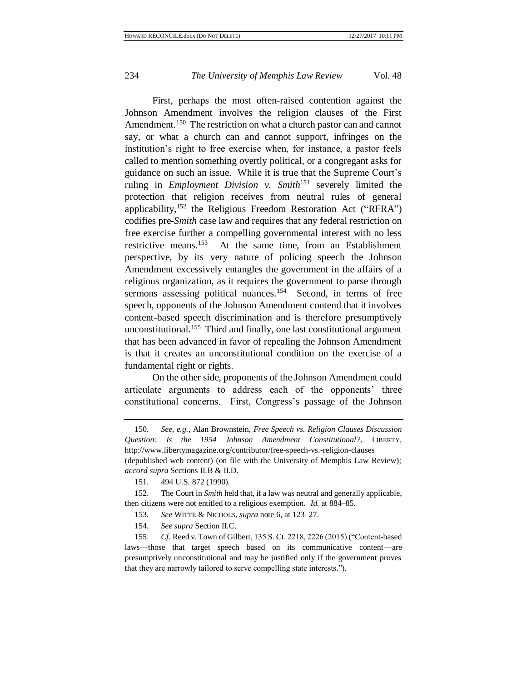<span id="page-25-0"></span>First, perhaps the most often-raised contention against the Johnson Amendment involves the religion clauses of the First Amendment.<sup>150</sup> The restriction on what a church pastor can and cannot say, or what a church can and cannot support, infringes on the institution's right to free exercise when, for instance, a pastor feels called to mention something overtly political, or a congregant asks for guidance on such an issue. While it is true that the Supreme Court's ruling in *Employment Division v. Smith*<sup>151</sup> severely limited the protection that religion receives from neutral rules of general applicability,<sup>152</sup> the Religious Freedom Restoration Act ("RFRA") codifies pre-*Smith* case law and requires that any federal restriction on free exercise further a compelling governmental interest with no less restrictive means.<sup>153</sup> At the same time, from an Establishment perspective, by its very nature of policing speech the Johnson Amendment excessively entangles the government in the affairs of a religious organization, as it requires the government to parse through sermons assessing political nuances.<sup>154</sup> Second, in terms of free speech, opponents of the Johnson Amendment contend that it involves content-based speech discrimination and is therefore presumptively unconstitutional.<sup>155</sup> Third and finally, one last constitutional argument that has been advanced in favor of repealing the Johnson Amendment is that it creates an unconstitutional condition on the exercise of a fundamental right or rights.

On the other side, proponents of the Johnson Amendment could articulate arguments to address each of the opponents' three constitutional concerns. First, Congress's passage of the Johnson

152. The Court in *Smith* held that, if a law was neutral and generally applicable, then citizens were not entitled to a religious exemption. *Id.* at 884–85.

- 153*. See* WITTE & NICHOLS, *supra* note [6,](#page-3-0) at 123–27.
- 154. *See supra* Section II.C.

155. *Cf.* Reed v. Town of Gilbert, 135 S. Ct. 2218, 2226 (2015) ("Content-based laws—those that target speech based on its communicative content—are presumptively unconstitutional and may be justified only if the government proves that they are narrowly tailored to serve compelling state interests.").

<sup>150</sup>*. See, e.g.*, Alan Brownstein, *Free Speech vs. Religion Clauses Discussion Question: Is the 1954 Johnson Amendment Constitutional?*, LIBERTY, http://www.libertymagazine.org/contributor/free-speech-vs.-religion-clauses (depublished web content) (on file with the University of Memphis Law Review); *accord supra* Sections II.B & II.D.

<sup>151.</sup> 494 U.S. 872 (1990).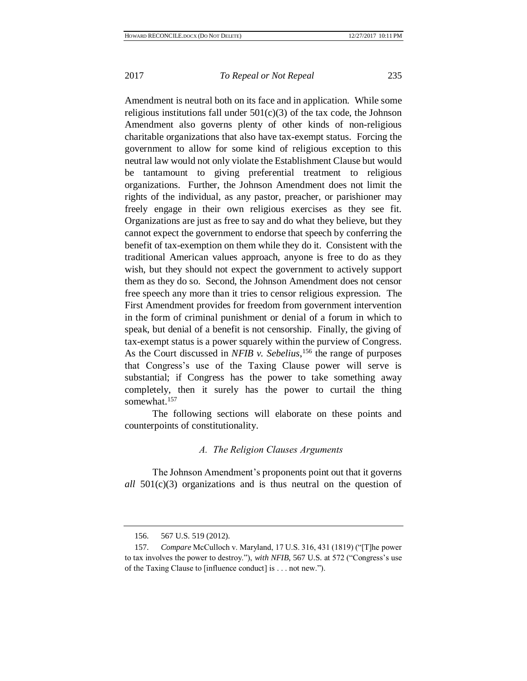Amendment is neutral both on its face and in application. While some religious institutions fall under  $501(c)(3)$  of the tax code, the Johnson Amendment also governs plenty of other kinds of non-religious charitable organizations that also have tax-exempt status. Forcing the government to allow for some kind of religious exception to this neutral law would not only violate the Establishment Clause but would be tantamount to giving preferential treatment to religious organizations. Further, the Johnson Amendment does not limit the rights of the individual, as any pastor, preacher, or parishioner may freely engage in their own religious exercises as they see fit. Organizations are just as free to say and do what they believe, but they cannot expect the government to endorse that speech by conferring the benefit of tax-exemption on them while they do it. Consistent with the traditional American values approach, anyone is free to do as they wish, but they should not expect the government to actively support them as they do so. Second, the Johnson Amendment does not censor free speech any more than it tries to censor religious expression. The First Amendment provides for freedom from government intervention in the form of criminal punishment or denial of a forum in which to speak, but denial of a benefit is not censorship. Finally, the giving of tax-exempt status is a power squarely within the purview of Congress. As the Court discussed in *NFIB v. Sebelius*,<sup>156</sup> the range of purposes that Congress's use of the Taxing Clause power will serve is substantial; if Congress has the power to take something away completely, then it surely has the power to curtail the thing somewhat.<sup>157</sup>

The following sections will elaborate on these points and counterpoints of constitutionality.

## *A. The Religion Clauses Arguments*

The Johnson Amendment's proponents point out that it governs *all* 501(c)(3) organizations and is thus neutral on the question of

<sup>156.</sup> 567 U.S. 519 (2012).

<sup>157.</sup> *Compare* McCulloch v. Maryland, 17 U.S. 316, 431 (1819) ("[T]he power to tax involves the power to destroy."), *with NFIB*, 567 U.S. at 572 ("Congress's use of the Taxing Clause to [influence conduct] is . . . not new.").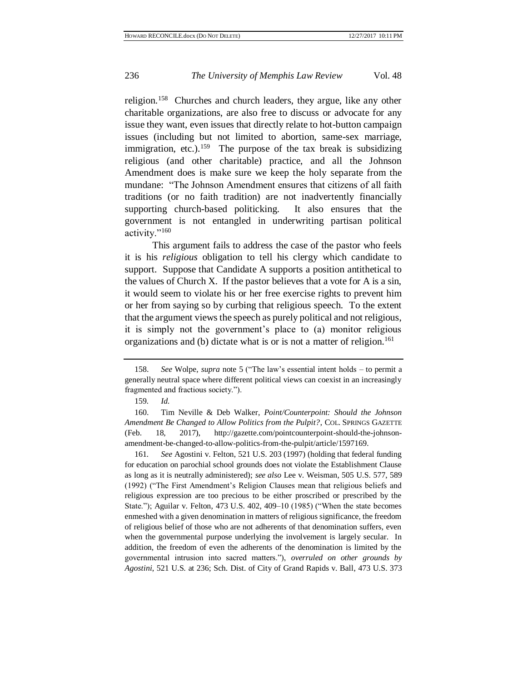religion.<sup>158</sup> Churches and church leaders, they argue, like any other charitable organizations, are also free to discuss or advocate for any issue they want, even issues that directly relate to hot-button campaign issues (including but not limited to abortion, same-sex marriage, immigration, etc.).<sup>159</sup> The purpose of the tax break is subsidizing religious (and other charitable) practice, and all the Johnson Amendment does is make sure we keep the holy separate from the mundane: "The Johnson Amendment ensures that citizens of all faith traditions (or no faith tradition) are not inadvertently financially supporting church-based politicking. It also ensures that the government is not entangled in underwriting partisan political activity."<sup>160</sup>

This argument fails to address the case of the pastor who feels it is his *religious* obligation to tell his clergy which candidate to support. Suppose that Candidate A supports a position antithetical to the values of Church X. If the pastor believes that a vote for A is a sin, it would seem to violate his or her free exercise rights to prevent him or her from saying so by curbing that religious speech. To the extent that the argument views the speech as purely political and not religious, it is simply not the government's place to (a) monitor religious organizations and (b) dictate what is or is not a matter of religion.<sup>161</sup>

161*. See* Agostini v. Felton, 521 U.S. 203 (1997) (holding that federal funding for education on parochial school grounds does not violate the Establishment Clause as long as it is neutrally administered); *see also* Lee v. Weisman, 505 U.S. 577, 589 (1992) ("The First Amendment's Religion Clauses mean that religious beliefs and religious expression are too precious to be either proscribed or prescribed by the State."); Aguilar v. Felton, 473 U.S. 402, 409–10 (1985) ("When the state becomes enmeshed with a given denomination in matters of religious significance, the freedom of religious belief of those who are not adherents of that denomination suffers, even when the governmental purpose underlying the involvement is largely secular. In addition, the freedom of even the adherents of the denomination is limited by the governmental intrusion into sacred matters."), *overruled on other grounds by Agostini*, 521 U.S. at 236; Sch. Dist. of City of Grand Rapids v. Ball, 473 U.S. 373

<sup>158.</sup> *See* Wolpe, *supra* note [5](#page-2-0) ("The law's essential intent holds – to permit a generally neutral space where different political views can coexist in an increasingly fragmented and fractious society.").

<sup>159</sup>*. Id.*

<sup>160.</sup> Tim Neville & Deb Walker, *Point/Counterpoint: Should the Johnson Amendment Be Changed to Allow Politics from the Pulpit?*, COL. SPRINGS GAZETTE (Feb. 18, 2017), http://gazette.com/pointcounterpoint-should-the-johnsonamendment-be-changed-to-allow-politics-from-the-pulpit/article/1597169.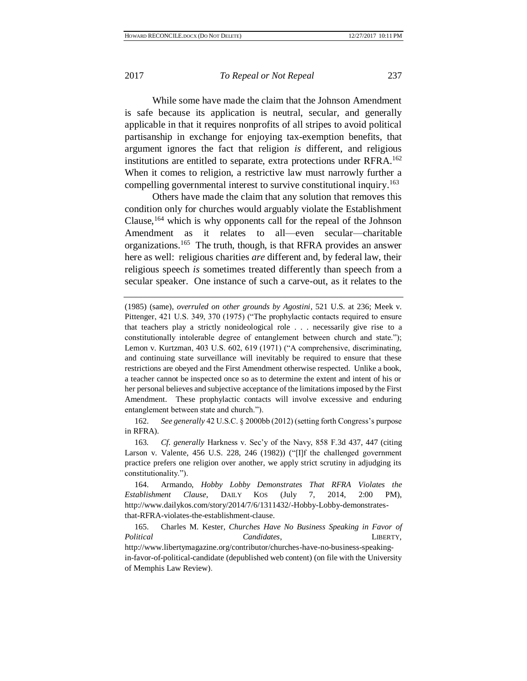While some have made the claim that the Johnson Amendment is safe because its application is neutral, secular, and generally applicable in that it requires nonprofits of all stripes to avoid political partisanship in exchange for enjoying tax-exemption benefits, that argument ignores the fact that religion *is* different, and religious institutions are entitled to separate, extra protections under RFRA. 162 When it comes to religion, a restrictive law must narrowly further a compelling governmental interest to survive constitutional inquiry. 163

Others have made the claim that any solution that removes this condition only for churches would arguably violate the Establishment Clause,<sup>164</sup> which is why opponents call for the repeal of the Johnson Amendment as it relates to all—even secular—charitable organizations.<sup>165</sup> The truth, though, is that RFRA provides an answer here as well: religious charities *are* different and, by federal law, their religious speech *is* sometimes treated differently than speech from a secular speaker. One instance of such a carve-out, as it relates to the

162. *See generally* 42 U.S.C. § 2000bb (2012) (setting forth Congress's purpose in RFRA).

163*. Cf. generally* Harkness v. Sec'y of the Navy, 858 F.3d 437, 447 (citing Larson v. Valente, 456 U.S. 228, 246 (1982)) ("[I]f the challenged government practice prefers one religion over another, we apply strict scrutiny in adjudging its constitutionality.").

164. Armando, *Hobby Lobby Demonstrates That RFRA Violates the Establishment Clause*, DAILY KOS (July 7, 2014, 2:00 PM), http://www.dailykos.com/story/2014/7/6/1311432/-Hobby-Lobby-demonstratesthat-RFRA-violates-the-establishment-clause.

165. Charles M. Kester, *Churches Have No Business Speaking in Favor of Political Candidates*, LIBERTY, http://www.libertymagazine.org/contributor/churches-have-no-business-speakingin-favor-of-political-candidate (depublished web content) (on file with the University of Memphis Law Review).

<sup>(1985) (</sup>same), *overruled on other grounds by Agostini*, 521 U.S. at 236; Meek v. Pittenger, 421 U.S. 349, 370 (1975) ("The prophylactic contacts required to ensure that teachers play a strictly nonideological role . . . necessarily give rise to a constitutionally intolerable degree of entanglement between church and state."); Lemon v. Kurtzman, 403 U.S. 602, 619 (1971) ("A comprehensive, discriminating, and continuing state surveillance will inevitably be required to ensure that these restrictions are obeyed and the First Amendment otherwise respected. Unlike a book, a teacher cannot be inspected once so as to determine the extent and intent of his or her personal believes and subjective acceptance of the limitations imposed by the First Amendment. These prophylactic contacts will involve excessive and enduring entanglement between state and church.").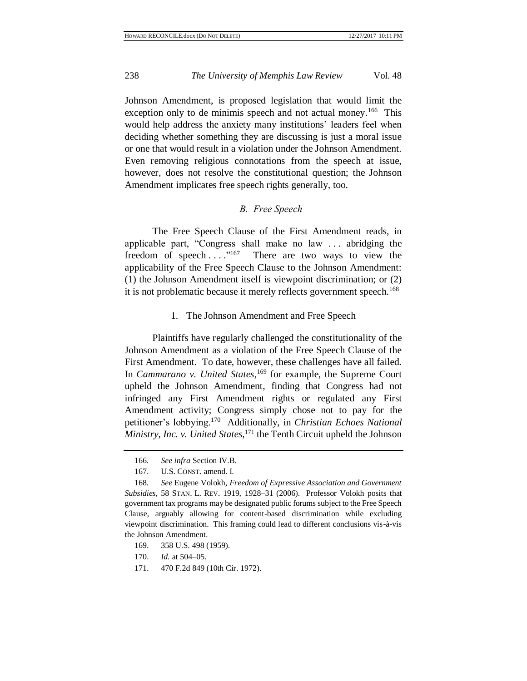Johnson Amendment, is proposed legislation that would limit the exception only to de minimis speech and not actual money.<sup>166</sup> This would help address the anxiety many institutions' leaders feel when deciding whether something they are discussing is just a moral issue or one that would result in a violation under the Johnson Amendment. Even removing religious connotations from the speech at issue, however, does not resolve the constitutional question; the Johnson Amendment implicates free speech rights generally, too.

## <span id="page-29-0"></span>*B. Free Speech*

The Free Speech Clause of the First Amendment reads, in applicable part, "Congress shall make no law . . . abridging the freedom of speech...."<sup>167</sup> There are two ways to view the applicability of the Free Speech Clause to the Johnson Amendment: (1) the Johnson Amendment itself is viewpoint discrimination; or (2) it is not problematic because it merely reflects government speech.<sup>168</sup>

### 1. The Johnson Amendment and Free Speech

Plaintiffs have regularly challenged the constitutionality of the Johnson Amendment as a violation of the Free Speech Clause of the First Amendment. To date, however, these challenges have all failed. In *Cammarano v. United States*, <sup>169</sup> for example, the Supreme Court upheld the Johnson Amendment, finding that Congress had not infringed any First Amendment rights or regulated any First Amendment activity; Congress simply chose not to pay for the petitioner's lobbying.<sup>170</sup> Additionally, in *Christian Echoes National Ministry, Inc. v. United States*, <sup>171</sup> the Tenth Circuit upheld the Johnson

- 170. *Id.* at 504–05.
- 171. 470 F.2d 849 (10th Cir. 1972).

<sup>166</sup>*. See infra* Section IV.B.

<sup>167.</sup> U.S. CONST. amend. I.

<sup>168</sup>*. See* Eugene Volokh, *Freedom of Expressive Association and Government Subsidies*, 58 STAN. L. REV. 1919, 1928–31 (2006). Professor Volokh posits that government tax programs may be designated public forums subject to the Free Speech Clause, arguably allowing for content-based discrimination while excluding viewpoint discrimination. This framing could lead to different conclusions vis-à-vis the Johnson Amendment.

<sup>169.</sup> 358 U.S. 498 (1959).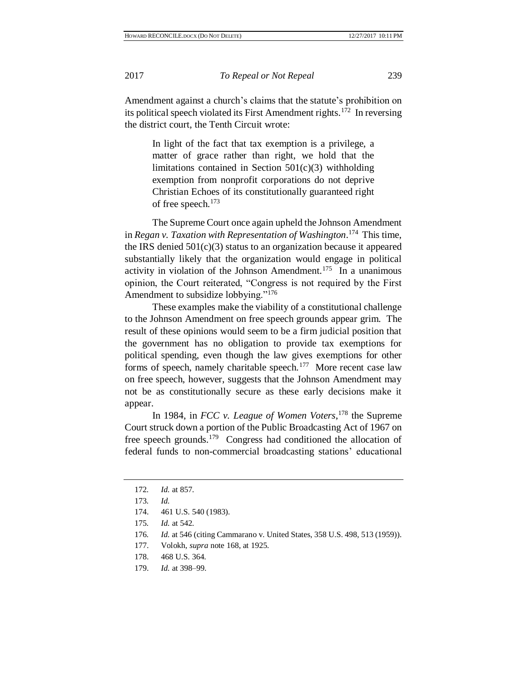Amendment against a church's claims that the statute's prohibition on its political speech violated its First Amendment rights.<sup>172</sup> In reversing the district court, the Tenth Circuit wrote:

In light of the fact that tax exemption is a privilege, a matter of grace rather than right, we hold that the limitations contained in Section 501(c)(3) withholding exemption from nonprofit corporations do not deprive Christian Echoes of its constitutionally guaranteed right of free speech.<sup>173</sup>

The Supreme Court once again upheld the Johnson Amendment in *Regan v. Taxation with Representation of Washington*. 174 This time, the IRS denied 501(c)(3) status to an organization because it appeared substantially likely that the organization would engage in political activity in violation of the Johnson Amendment.<sup>175</sup> In a unanimous opinion, the Court reiterated, "Congress is not required by the First Amendment to subsidize lobbying."<sup>176</sup>

These examples make the viability of a constitutional challenge to the Johnson Amendment on free speech grounds appear grim. The result of these opinions would seem to be a firm judicial position that the government has no obligation to provide tax exemptions for political spending, even though the law gives exemptions for other forms of speech, namely charitable speech.<sup>177</sup> More recent case law on free speech, however, suggests that the Johnson Amendment may not be as constitutionally secure as these early decisions make it appear.

In 1984, in *FCC v. League of Women Voters*, <sup>178</sup> the Supreme Court struck down a portion of the Public Broadcasting Act of 1967 on free speech grounds.<sup>179</sup> Congress had conditioned the allocation of federal funds to non-commercial broadcasting stations' educational

- 176*. Id.* at 546 (citing Cammarano v. United States, 358 U.S. 498, 513 (1959)).
- 177. Volokh, *supra* note [168,](#page-29-0) at 1925.
- 178. 468 U.S. 364.
- 179. *Id.* at 398–99.

<sup>172</sup>*. Id.* at 857.

<sup>173</sup>*. Id.*

<sup>174.</sup> 461 U.S. 540 (1983).

<sup>175</sup>*. Id.* at 542.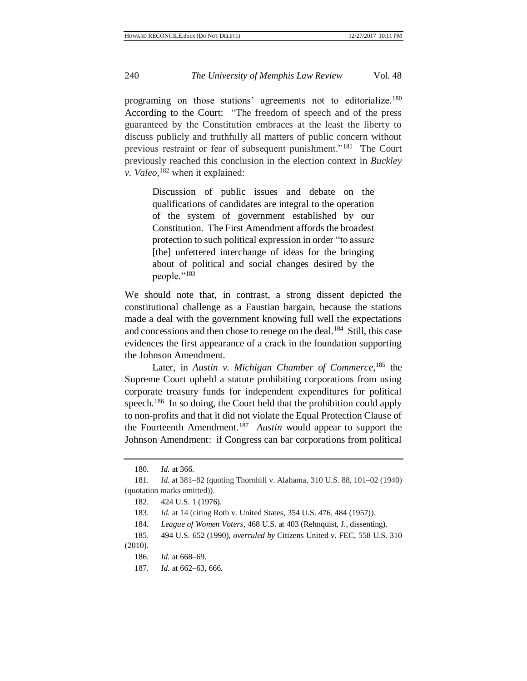programing on those stations' agreements not to editorialize.<sup>180</sup> According to the Court: "The freedom of speech and of the press guaranteed by the Constitution embraces at the least the liberty to discuss publicly and truthfully all matters of public concern without previous restraint or fear of subsequent punishment."<sup>181</sup> The Court previously reached this conclusion in the election context in *Buckley v. Valeo*, <sup>182</sup> when it explained:

Discussion of public issues and debate on the qualifications of candidates are integral to the operation of the system of government established by our Constitution. The First Amendment affords the broadest protection to such political expression in order "to assure [the] unfettered interchange of ideas for the bringing about of political and social changes desired by the people."<sup>183</sup>

We should note that, in contrast, a strong dissent depicted the constitutional challenge as a Faustian bargain, because the stations made a deal with the government knowing full well the expectations and concessions and then chose to renege on the deal.<sup>184</sup> Still, this case evidences the first appearance of a crack in the foundation supporting the Johnson Amendment.

Later, in *Austin v. Michigan Chamber of Commerce*, <sup>185</sup> the Supreme Court upheld a statute prohibiting corporations from using corporate treasury funds for independent expenditures for political speech.<sup>186</sup> In so doing, the Court held that the prohibition could apply to non-profits and that it did not violate the Equal Protection Clause of the Fourteenth Amendment.<sup>187</sup> *Austin* would appear to support the Johnson Amendment: if Congress can bar corporations from political

<sup>180</sup>*. Id.* at 366.

<sup>181</sup>*. Id.* at 381–82 (quoting Thornhill v. Alabama, 310 U.S. 88, 101–02 (1940) (quotation marks omitted)).

<sup>182.</sup> 424 U.S. 1 (1976).

<sup>183.</sup> *Id.* at 14 (citing Roth v. United States, 354 U.S. 476, 484 (1957)).

<sup>184</sup>*. League of Women Voters*, 468 U.S. at 403 (Rehnquist, J., dissenting).

<sup>185.</sup> 494 U.S. 652 (1990), *overruled by* Citizens United v. FEC, 558 U.S. 310

<sup>(2010).</sup>

<sup>186.</sup> *Id.* at 668–69.

<sup>187</sup>*. Id.* at 662–63, 666.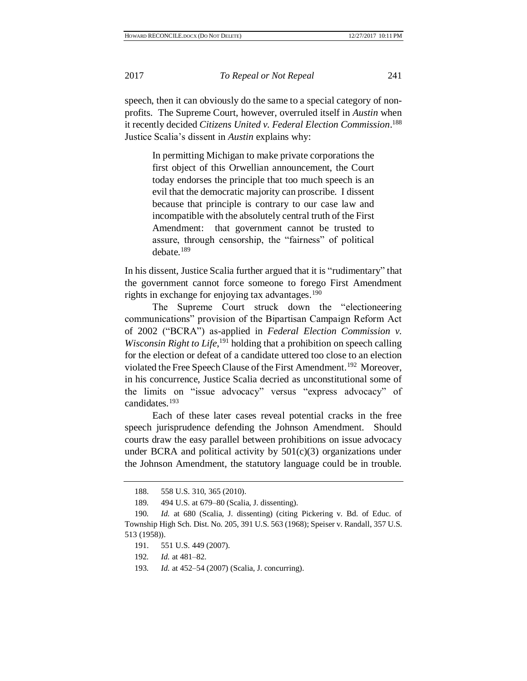speech, then it can obviously do the same to a special category of nonprofits. The Supreme Court, however, overruled itself in *Austin* when it recently decided *Citizens United v. Federal Election Commission*. 188 Justice Scalia's dissent in *Austin* explains why:

In permitting Michigan to make private corporations the first object of this Orwellian announcement, the Court today endorses the principle that too much speech is an evil that the democratic majority can proscribe. I dissent because that principle is contrary to our case law and incompatible with the absolutely central truth of the First Amendment: that government cannot be trusted to assure, through censorship, the "fairness" of political debate.<sup>189</sup>

In his dissent, Justice Scalia further argued that it is "rudimentary" that the government cannot force someone to forego First Amendment rights in exchange for enjoying tax advantages. 190

The Supreme Court struck down the "electioneering communications" provision of the Bipartisan Campaign Reform Act of 2002 ("BCRA") as-applied in *Federal Election Commission v.*  Wisconsin Right to Life,<sup>191</sup> holding that a prohibition on speech calling for the election or defeat of a candidate uttered too close to an election violated the Free Speech Clause of the First Amendment.<sup>192</sup> Moreover, in his concurrence, Justice Scalia decried as unconstitutional some of the limits on "issue advocacy" versus "express advocacy" of candidates.<sup>193</sup>

Each of these later cases reveal potential cracks in the free speech jurisprudence defending the Johnson Amendment. Should courts draw the easy parallel between prohibitions on issue advocacy under BCRA and political activity by  $501(c)(3)$  organizations under the Johnson Amendment, the statutory language could be in trouble.

- 192*. Id.* at 481–82.
- 193*. Id.* at 452–54 (2007) (Scalia, J. concurring).

<sup>188.</sup> 558 U.S. 310, 365 (2010).

<sup>189</sup>*.* 494 U.S. at 679–80 (Scalia, J. dissenting).

<sup>190</sup>*. Id.* at 680 (Scalia, J. dissenting) (citing Pickering v. Bd. of Educ. of Township High Sch. Dist. No. 205, 391 U.S. 563 (1968); Speiser v. Randall, 357 U.S. 513 (1958)).

<sup>191.</sup> 551 U.S. 449 (2007).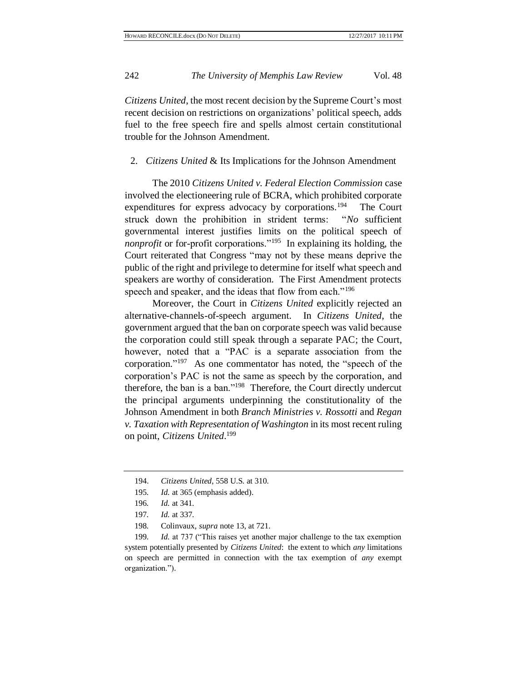*Citizens United*, the most recent decision by the Supreme Court's most recent decision on restrictions on organizations' political speech, adds fuel to the free speech fire and spells almost certain constitutional trouble for the Johnson Amendment.

## 2. *Citizens United* & Its Implications for the Johnson Amendment

The 2010 *Citizens United v. Federal Election Commission* case involved the electioneering rule of BCRA, which prohibited corporate expenditures for express advocacy by corporations.<sup>194</sup> The Court struck down the prohibition in strident terms: "*No* sufficient governmental interest justifies limits on the political speech of *nonprofit* or for-profit corporations."<sup>195</sup> In explaining its holding, the Court reiterated that Congress "may not by these means deprive the public of the right and privilege to determine for itself what speech and speakers are worthy of consideration. The First Amendment protects speech and speaker, and the ideas that flow from each."<sup>196</sup>

Moreover, the Court in *Citizens United* explicitly rejected an alternative-channels-of-speech argument. In *Citizens United*, the government argued that the ban on corporate speech was valid because the corporation could still speak through a separate PAC; the Court, however, noted that a "PAC is a separate association from the corporation." <sup>197</sup> As one commentator has noted, the "speech of the corporation's PAC is not the same as speech by the corporation, and therefore, the ban is a ban."<sup>198</sup> Therefore, the Court directly undercut the principal arguments underpinning the constitutionality of the Johnson Amendment in both *Branch Ministries v. Rossotti* and *Regan v. Taxation with Representation of Washington* in its most recent ruling on point, *Citizens United*. 199

198*.* Colinvaux, *supra* note [13,](#page-4-0) at 721.

199*. Id.* at 737 ("This raises yet another major challenge to the tax exemption system potentially presented by *Citizens United*: the extent to which *any* limitations on speech are permitted in connection with the tax exemption of *any* exempt organization.").

<sup>194.</sup> *Citizens United*, 558 U.S. at 310.

<sup>195</sup>*. Id.* at 365 (emphasis added).

<sup>196</sup>*. Id.* at 341.

<sup>197</sup>*. Id.* at 337.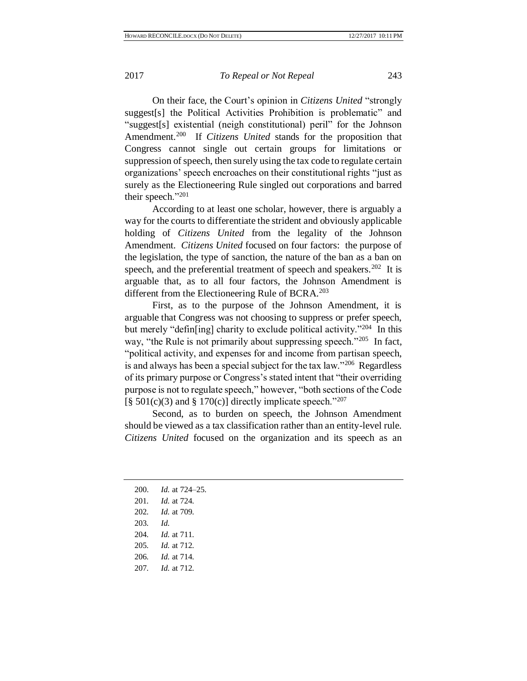On their face, the Court's opinion in *Citizens United* "strongly suggest[s] the Political Activities Prohibition is problematic" and "suggest[s] existential (neigh constitutional) peril" for the Johnson Amendment.<sup>200</sup> If *Citizens United* stands for the proposition that Congress cannot single out certain groups for limitations or suppression of speech, then surely using the tax code to regulate certain organizations' speech encroaches on their constitutional rights "just as surely as the Electioneering Rule singled out corporations and barred their speech."<sup>201</sup>

According to at least one scholar, however, there is arguably a way for the courts to differentiate the strident and obviously applicable holding of *Citizens United* from the legality of the Johnson Amendment. *Citizens United* focused on four factors: the purpose of the legislation, the type of sanction, the nature of the ban as a ban on speech, and the preferential treatment of speech and speakers.<sup>202</sup> It is arguable that, as to all four factors, the Johnson Amendment is different from the Electioneering Rule of BCRA.<sup>203</sup>

First, as to the purpose of the Johnson Amendment, it is arguable that Congress was not choosing to suppress or prefer speech, but merely "defin[ing] charity to exclude political activity."<sup>204</sup> In this way, "the Rule is not primarily about suppressing speech."<sup>205</sup> In fact, "political activity, and expenses for and income from partisan speech, is and always has been a special subject for the tax law."<sup>206</sup> Regardless of its primary purpose or Congress's stated intent that "their overriding purpose is not to regulate speech," however, "both sections of the Code  $\lceil \frac{8}{9} \cdot 501(c)(3) \rangle$  and  $\lceil \frac{8}{9} \cdot 170(c) \rceil$  directly implicate speech."<sup>207</sup>

Second, as to burden on speech, the Johnson Amendment should be viewed as a tax classification rather than an entity-level rule. *Citizens United* focused on the organization and its speech as an

| 200. | <i>Id.</i> at 724–25. |
|------|-----------------------|
| 201. | <i>Id.</i> at 724.    |
| 202. | <i>Id.</i> at 709.    |
| 203. | Id.                   |
| 204. | <i>Id.</i> at 711.    |
| 205. | <i>Id.</i> at 712.    |
| 206. | <i>Id.</i> at 714.    |
| 207. | <i>Id.</i> at 712.    |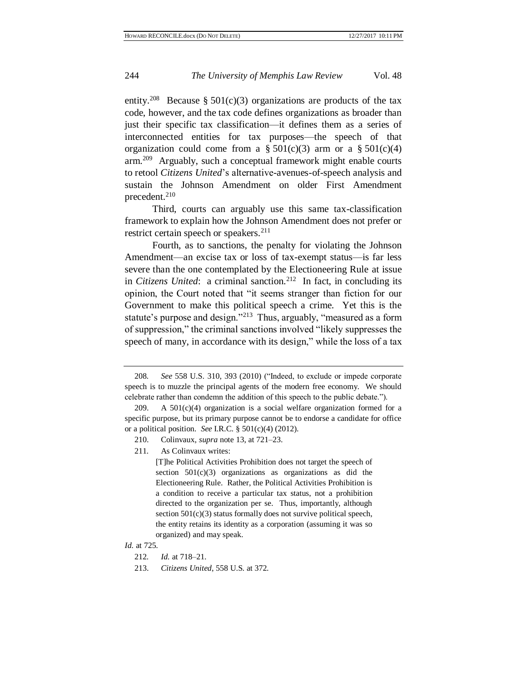entity.<sup>208</sup> Because § 501(c)(3) organizations are products of the tax code, however, and the tax code defines organizations as broader than just their specific tax classification—it defines them as a series of interconnected entities for tax purposes—the speech of that organization could come from a  $\S 501(c)(3)$  arm or a  $\S 501(c)(4)$ arm.<sup>209</sup> Arguably, such a conceptual framework might enable courts to retool *Citizens United*'s alternative-avenues-of-speech analysis and sustain the Johnson Amendment on older First Amendment precedent.<sup>210</sup>

Third, courts can arguably use this same tax-classification framework to explain how the Johnson Amendment does not prefer or restrict certain speech or speakers.<sup>211</sup>

Fourth, as to sanctions, the penalty for violating the Johnson Amendment—an excise tax or loss of tax-exempt status—is far less severe than the one contemplated by the Electioneering Rule at issue in *Citizens United*: a criminal sanction.<sup>212</sup> In fact, in concluding its opinion, the Court noted that "it seems stranger than fiction for our Government to make this political speech a crime. Yet this is the statute's purpose and design."<sup>213</sup> Thus, arguably, "measured as a form of suppression," the criminal sanctions involved "likely suppresses the speech of many, in accordance with its design," while the loss of a tax

211*.* As Colinvaux writes:

[T]he Political Activities Prohibition does not target the speech of section  $501(c)(3)$  organizations as organizations as did the Electioneering Rule. Rather, the Political Activities Prohibition is a condition to receive a particular tax status, not a prohibition directed to the organization per se. Thus, importantly, although section  $501(c)(3)$  status formally does not survive political speech, the entity retains its identity as a corporation (assuming it was so organized) and may speak.

#### *Id.* at 725.

213. *Citizens United*, 558 U.S. at 372.

<sup>208</sup>*. See* 558 U.S. 310, 393 (2010) ("Indeed, to exclude or impede corporate speech is to muzzle the principal agents of the modern free economy. We should celebrate rather than condemn the addition of this speech to the public debate.").

<sup>209.</sup> A  $501(c)(4)$  organization is a social welfare organization formed for a specific purpose, but its primary purpose cannot be to endorse a candidate for office or a political position. *See* I.R.C. § 501(c)(4) (2012).

<sup>210.</sup> Colinvaux, *supra* note [13,](#page-4-0) at 721–23.

<sup>212</sup>*. Id.* at 718–21.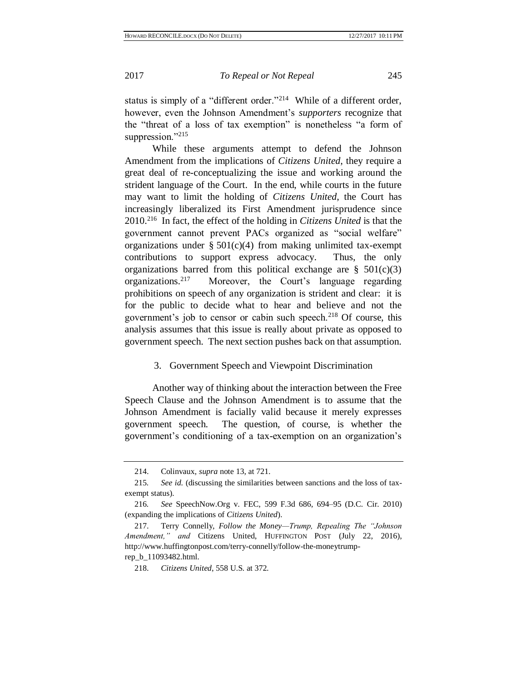status is simply of a "different order."<sup>214</sup> While of a different order, however, even the Johnson Amendment's *supporters* recognize that the "threat of a loss of tax exemption" is nonetheless "a form of suppression."215

While these arguments attempt to defend the Johnson Amendment from the implications of *Citizens United*, they require a great deal of re-conceptualizing the issue and working around the strident language of the Court. In the end, while courts in the future may want to limit the holding of *Citizens United*, the Court has increasingly liberalized its First Amendment jurisprudence since 2010.<sup>216</sup> In fact, the effect of the holding in *Citizens United* is that the government cannot prevent PACs organized as "social welfare" organizations under  $\S 501(c)(4)$  from making unlimited tax-exempt contributions to support express advocacy. Thus, the only organizations barred from this political exchange are  $\S$  501(c)(3) organizations.<sup>217</sup> Moreover, the Court's language regarding prohibitions on speech of any organization is strident and clear: it is for the public to decide what to hear and believe and not the government's job to censor or cabin such speech.<sup>218</sup> Of course, this analysis assumes that this issue is really about private as opposed to government speech. The next section pushes back on that assumption.

## 3. Government Speech and Viewpoint Discrimination

Another way of thinking about the interaction between the Free Speech Clause and the Johnson Amendment is to assume that the Johnson Amendment is facially valid because it merely expresses government speech. The question, of course, is whether the government's conditioning of a tax-exemption on an organization's

<sup>214.</sup> Colinvaux, *supra* note [13,](#page-4-0) at 721.

<sup>215</sup>*. See id.* (discussing the similarities between sanctions and the loss of taxexempt status).

<sup>216</sup>*. See* SpeechNow.Org v. FEC, 599 F.3d 686, 694–95 (D.C. Cir. 2010) (expanding the implications of *Citizens United*).

<sup>217.</sup> Terry Connelly, *Follow the Money—Trump, Repealing The "Johnson Amendment," and* Citizens United, HUFFINGTON POST (July 22, 2016), http://www.huffingtonpost.com/terry-connelly/follow-the-moneytrumprep\_b\_11093482.html.

<sup>218.</sup> *Citizens United*, 558 U.S. at 372.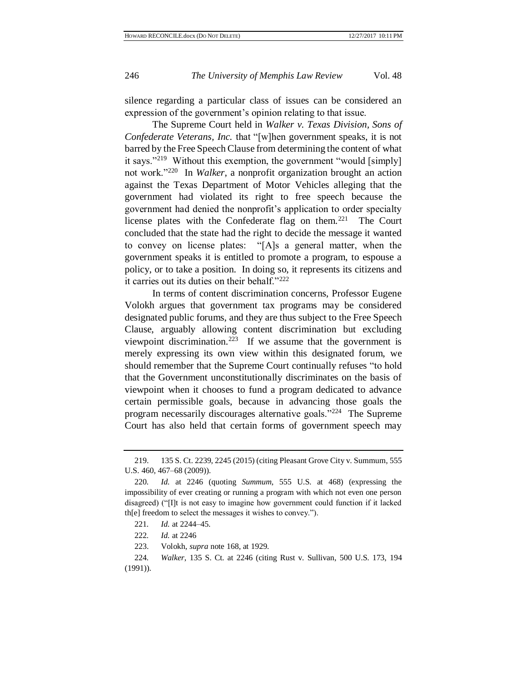silence regarding a particular class of issues can be considered an expression of the government's opinion relating to that issue.

The Supreme Court held in *Walker v. Texas Division, Sons of Confederate Veterans, Inc.* that "[w]hen government speaks, it is not barred by the Free Speech Clause from determining the content of what it says."<sup>219</sup> Without this exemption, the government "would [simply] not work."<sup>220</sup> In *Walker*, a nonprofit organization brought an action against the Texas Department of Motor Vehicles alleging that the government had violated its right to free speech because the government had denied the nonprofit's application to order specialty license plates with the Confederate flag on them.<sup>221</sup> The Court concluded that the state had the right to decide the message it wanted to convey on license plates: "[A]s a general matter, when the government speaks it is entitled to promote a program, to espouse a policy, or to take a position. In doing so, it represents its citizens and it carries out its duties on their behalf."<sup>222</sup>

In terms of content discrimination concerns, Professor Eugene Volokh argues that government tax programs may be considered designated public forums, and they are thus subject to the Free Speech Clause, arguably allowing content discrimination but excluding viewpoint discrimination.<sup>223</sup> If we assume that the government is merely expressing its own view within this designated forum, we should remember that the Supreme Court continually refuses "to hold that the Government unconstitutionally discriminates on the basis of viewpoint when it chooses to fund a program dedicated to advance certain permissible goals, because in advancing those goals the program necessarily discourages alternative goals."<sup>224</sup> The Supreme Court has also held that certain forms of government speech may

<sup>219.</sup> 135 S. Ct. 2239, 2245 (2015) (citing Pleasant Grove City v. Summum, 555 U.S. 460, 467–68 (2009)).

<sup>220</sup>*. Id.* at 2246 (quoting *Summum*, 555 U.S. at 468) (expressing the impossibility of ever creating or running a program with which not even one person disagreed) ("[I]t is not easy to imagine how government could function if it lacked th[e] freedom to select the messages it wishes to convey.").

<sup>221</sup>*. Id.* at 2244–45.

<sup>222</sup>*. Id.* at 2246

<sup>223.</sup> Volokh, *supra* note [168,](#page-29-0) at 1929.

<sup>224</sup>*. Walker*, 135 S. Ct. at 2246 (citing Rust v. Sullivan, 500 U.S. 173, 194 (1991)).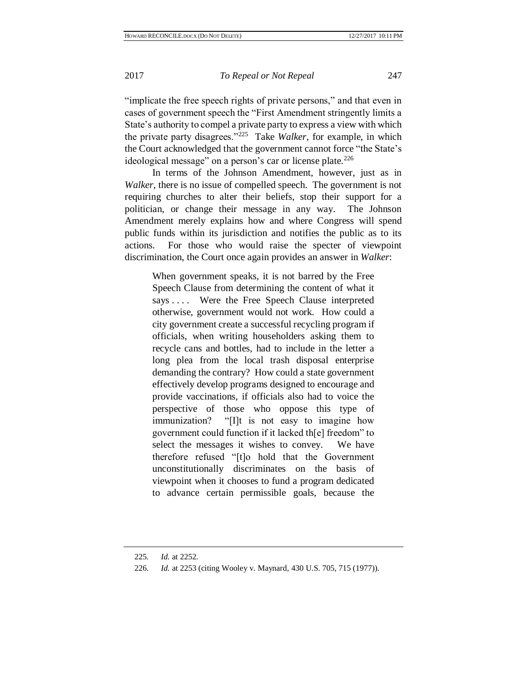"implicate the free speech rights of private persons," and that even in cases of government speech the "First Amendment stringently limits a State's authority to compel a private party to express a view with which the private party disagrees."<sup>225</sup> Take *Walker*, for example, in which the Court acknowledged that the government cannot force "the State's ideological message" on a person's car or license plate.<sup>226</sup>

In terms of the Johnson Amendment, however, just as in *Walker*, there is no issue of compelled speech. The government is not requiring churches to alter their beliefs, stop their support for a politician, or change their message in any way. The Johnson Amendment merely explains how and where Congress will spend public funds within its jurisdiction and notifies the public as to its actions. For those who would raise the specter of viewpoint discrimination, the Court once again provides an answer in *Walker*:

When government speaks, it is not barred by the Free Speech Clause from determining the content of what it says . . . . Were the Free Speech Clause interpreted otherwise, government would not work. How could a city government create a successful recycling program if officials, when writing householders asking them to recycle cans and bottles, had to include in the letter a long plea from the local trash disposal enterprise demanding the contrary? How could a state government effectively develop programs designed to encourage and provide vaccinations, if officials also had to voice the perspective of those who oppose this type of immunization? "[I]t is not easy to imagine how government could function if it lacked th[e] freedom" to select the messages it wishes to convey. We have therefore refused "[t]o hold that the Government unconstitutionally discriminates on the basis of viewpoint when it chooses to fund a program dedicated to advance certain permissible goals, because the

<sup>225</sup>*. Id.* at 2252.

<sup>226</sup>*. Id.* at 2253 (citing Wooley v. Maynard, 430 U.S. 705, 715 (1977)).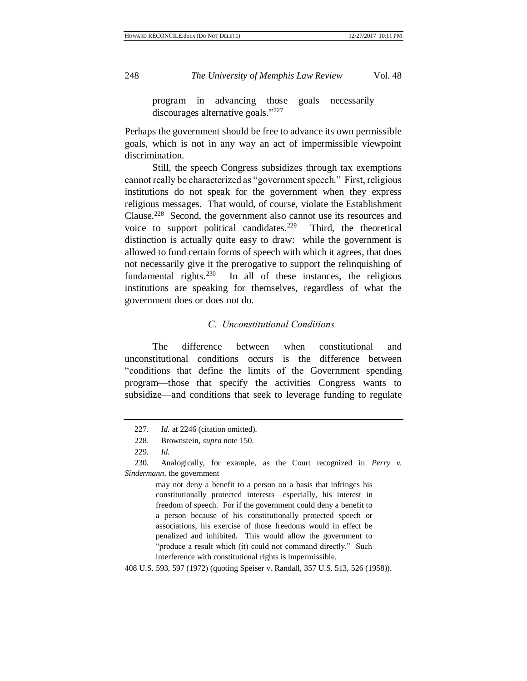program in advancing those goals necessarily discourages alternative goals."227

Perhaps the government should be free to advance its own permissible goals, which is not in any way an act of impermissible viewpoint discrimination.

Still, the speech Congress subsidizes through tax exemptions cannot really be characterized as "government speech." First, religious institutions do not speak for the government when they express religious messages. That would, of course, violate the Establishment Clause.<sup>228</sup> Second, the government also cannot use its resources and voice to support political candidates.<sup>229</sup> Third, the theoretical distinction is actually quite easy to draw: while the government is allowed to fund certain forms of speech with which it agrees, that does not necessarily give it the prerogative to support the relinquishing of fundamental rights. $230$  In all of these instances, the religious institutions are speaking for themselves, regardless of what the government does or does not do.

## *C. Unconstitutional Conditions*

The difference between when constitutional and unconstitutional conditions occurs is the difference between "conditions that define the limits of the Government spending program—those that specify the activities Congress wants to subsidize—and conditions that seek to leverage funding to regulate

may not deny a benefit to a person on a basis that infringes his constitutionally protected interests—especially, his interest in freedom of speech. For if the government could deny a benefit to a person because of his constitutionally protected speech or associations, his exercise of those freedoms would in effect be penalized and inhibited. This would allow the government to "produce a result which (it) could not command directly." Such interference with constitutional rights is impermissible.

408 U.S. 593, 597 (1972) (quoting Speiser v. Randall, 357 U.S. 513, 526 (1958)).

<sup>227</sup>*. Id.* at 2246 (citation omitted).

<sup>228.</sup> Brownstein, *supra* not[e 150.](#page-25-0)

<sup>229</sup>*. Id.*

<sup>230</sup>*.* Analogically, for example, as the Court recognized in *Perry v. Sindermann*, the government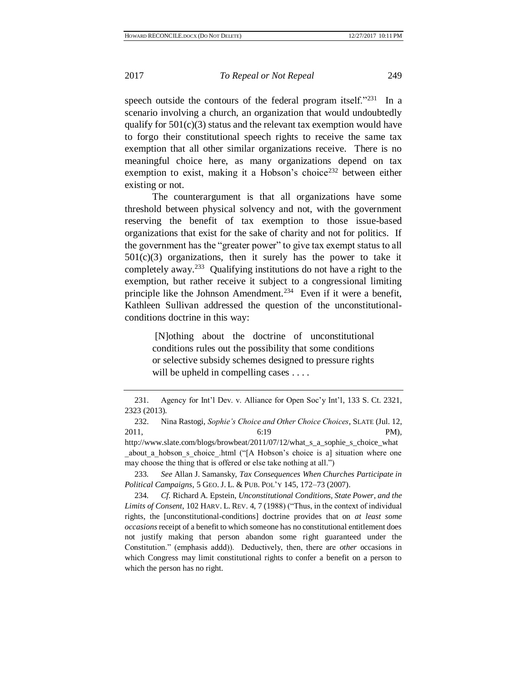speech outside the contours of the federal program itself."231 In a scenario involving a church, an organization that would undoubtedly qualify for  $501(c)(3)$  status and the relevant tax exemption would have to forgo their constitutional speech rights to receive the same tax exemption that all other similar organizations receive. There is no meaningful choice here, as many organizations depend on tax exemption to exist, making it a Hobson's choice<sup>232</sup> between either existing or not.

The counterargument is that all organizations have some threshold between physical solvency and not, with the government reserving the benefit of tax exemption to those issue-based organizations that exist for the sake of charity and not for politics. If the government has the "greater power" to give tax exempt status to all  $501(c)(3)$  organizations, then it surely has the power to take it completely away.<sup>233</sup> Qualifying institutions do not have a right to the exemption, but rather receive it subject to a congressional limiting principle like the Johnson Amendment.<sup>234</sup> Even if it were a benefit, Kathleen Sullivan addressed the question of the unconstitutionalconditions doctrine in this way:

[N]othing about the doctrine of unconstitutional conditions rules out the possibility that some conditions or selective subsidy schemes designed to pressure rights will be upheld in compelling cases . . . .

232. Nina Rastogi, *Sophie's Choice and Other Choice Choices*, SLATE (Jul. 12, 2011, **PM**), http://www.slate.com/blogs/browbeat/2011/07/12/what s a sophie s choice what about a hobson s choice .html ("[A Hobson's choice is a] situation where one may choose the thing that is offered or else take nothing at all.")

233*. See* Allan J. Samansky, *Tax Consequences When Churches Participate in Political Campaigns*, 5 GEO. J. L. & PUB. POL'Y 145, 172–73 (2007).

234*. Cf.* Richard A. Epstein, *Unconstitutional Conditions, State Power, and the Limits of Consent*, 102 HARV. L. REV. 4, 7 (1988) ("Thus, in the context of individual rights, the [unconstitutional-conditions] doctrine provides that on *at least some occasions* receipt of a benefit to which someone has no constitutional entitlement does not justify making that person abandon some right guaranteed under the Constitution." (emphasis addd)). Deductively, then, there are *other* occasions in which Congress may limit constitutional rights to confer a benefit on a person to which the person has no right.

<sup>231.</sup> Agency for Int'l Dev. v. Alliance for Open Soc'y Int'l, 133 S. Ct. 2321, 2323 (2013).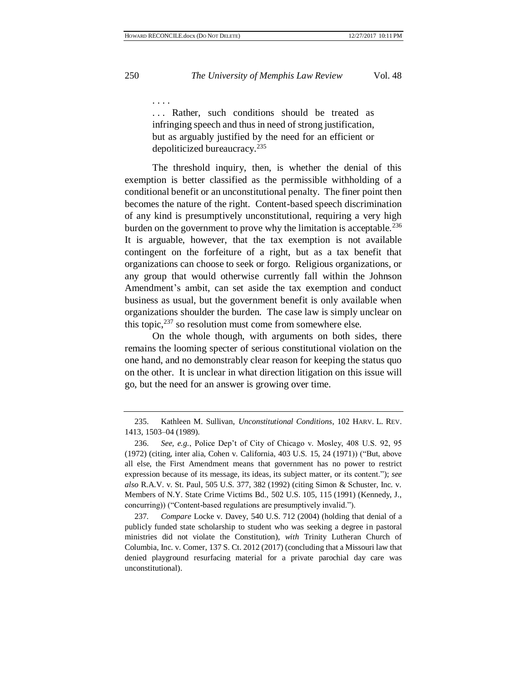. . . Rather, such conditions should be treated as infringing speech and thus in need of strong justification, but as arguably justified by the need for an efficient or depoliticized bureaucracy.<sup>235</sup>

The threshold inquiry, then, is whether the denial of this exemption is better classified as the permissible withholding of a conditional benefit or an unconstitutional penalty. The finer point then becomes the nature of the right. Content-based speech discrimination of any kind is presumptively unconstitutional, requiring a very high burden on the government to prove why the limitation is acceptable.  $236$ It is arguable, however, that the tax exemption is not available contingent on the forfeiture of a right, but as a tax benefit that organizations can choose to seek or forgo. Religious organizations, or any group that would otherwise currently fall within the Johnson Amendment's ambit, can set aside the tax exemption and conduct business as usual, but the government benefit is only available when organizations shoulder the burden. The case law is simply unclear on this topic, $237$  so resolution must come from somewhere else.

On the whole though, with arguments on both sides, there remains the looming specter of serious constitutional violation on the one hand, and no demonstrably clear reason for keeping the status quo on the other. It is unclear in what direction litigation on this issue will go, but the need for an answer is growing over time.

. . . .

<sup>235.</sup> Kathleen M. Sullivan, *Unconstitutional Conditions*, 102 HARV. L. REV. 1413, 1503–04 (1989).

<sup>236.</sup> *See, e.g.*, Police Dep't of City of Chicago v. Mosley, 408 U.S. 92, 95 (1972) (citing, inter alia, Cohen v. California, 403 U.S. 15, 24 (1971)) ("But, above all else, the First Amendment means that government has no power to restrict expression because of its message, its ideas, its subject matter, or its content."); *see also* R.A.V. v. St. Paul, 505 U.S. 377, 382 (1992) (citing Simon & Schuster, Inc. v. Members of N.Y. State Crime Victims Bd., 502 U.S. 105, 115 (1991) (Kennedy, J., concurring)) ("Content-based regulations are presumptively invalid.").

<sup>237</sup>*. Compare* Locke v. Davey, 540 U.S. 712 (2004) (holding that denial of a publicly funded state scholarship to student who was seeking a degree in pastoral ministries did not violate the Constitution), *with* Trinity Lutheran Church of Columbia, Inc. v. Comer, 137 S. Ct. 2012 (2017) (concluding that a Missouri law that denied playground resurfacing material for a private parochial day care was unconstitutional).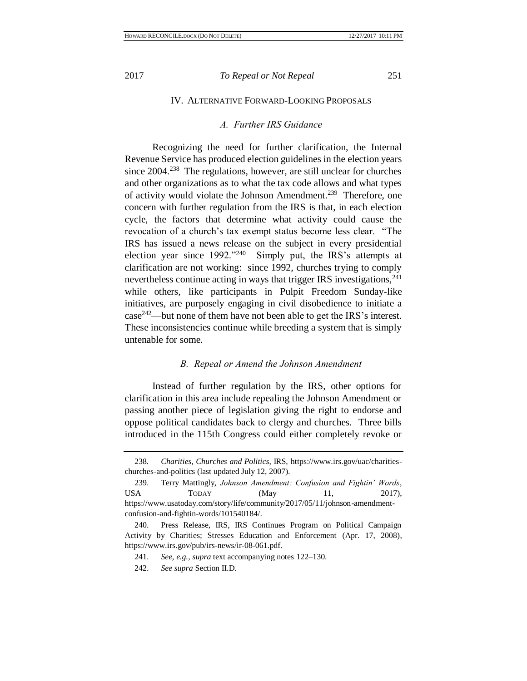#### *A. Further IRS Guidance*

Recognizing the need for further clarification, the Internal Revenue Service has produced election guidelines in the election years since 2004.<sup>238</sup> The regulations, however, are still unclear for churches and other organizations as to what the tax code allows and what types of activity would violate the Johnson Amendment.<sup>239</sup> Therefore, one concern with further regulation from the IRS is that, in each election cycle, the factors that determine what activity could cause the revocation of a church's tax exempt status become less clear. "The IRS has issued a news release on the subject in every presidential election year since 1992."<sup>240</sup> Simply put, the IRS's attempts at clarification are not working: since 1992, churches trying to comply nevertheless continue acting in ways that trigger IRS investigations,  $241$ while others, like participants in Pulpit Freedom Sunday-like initiatives, are purposely engaging in civil disobedience to initiate a case<sup>242</sup>—but none of them have not been able to get the IRS's interest. These inconsistencies continue while breeding a system that is simply untenable for some.

## *B. Repeal or Amend the Johnson Amendment*

Instead of further regulation by the IRS, other options for clarification in this area include repealing the Johnson Amendment or passing another piece of legislation giving the right to endorse and oppose political candidates back to clergy and churches. Three bills introduced in the 115th Congress could either completely revoke or

<sup>238</sup>*. Charities, Churches and Politics*, IRS, https://www.irs.gov/uac/charitieschurches-and-politics (last updated July 12, 2007).

<sup>239.</sup> Terry Mattingly, *Johnson Amendment: Confusion and Fightin' Words*, USA TODAY (May 11, 2017), https://www.usatoday.com/story/life/community/2017/05/11/johnson-amendmentconfusion-and-fightin-words/101540184/.

<sup>240.</sup> Press Release, IRS, IRS Continues Program on Political Campaign Activity by Charities; Stresses Education and Enforcement (Apr. 17, 2008), https://www.irs.gov/pub/irs-news/ir-08-061.pdf.

<sup>241.</sup> *See, e.g.*, *supra* text accompanying notes [122](#page-21-0)[–130.](#page-22-1)

<sup>242.</sup> *See supra* Section II.D.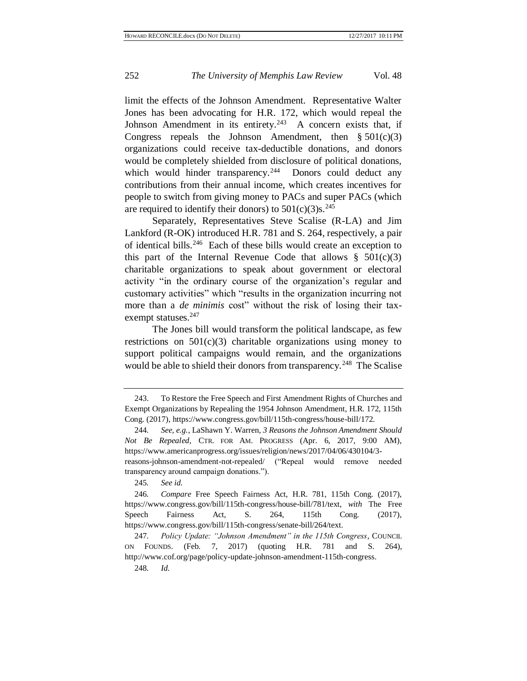limit the effects of the Johnson Amendment. Representative Walter Jones has been advocating for H.R. 172, which would repeal the Johnson Amendment in its entirety.<sup>243</sup> A concern exists that, if Congress repeals the Johnson Amendment, then  $§ 501(c)(3)$ organizations could receive tax-deductible donations, and donors would be completely shielded from disclosure of political donations, which would hinder transparency.<sup>244</sup> Donors could deduct any contributions from their annual income, which creates incentives for people to switch from giving money to PACs and super PACs (which are required to identify their donors) to  $501(c)(3)s^{245}$ 

Separately, Representatives Steve Scalise (R-LA) and Jim Lankford (R-OK) introduced H.R. 781 and S. 264, respectively, a pair of identical bills.<sup>246</sup> Each of these bills would create an exception to this part of the Internal Revenue Code that allows  $\S$  501(c)(3) charitable organizations to speak about government or electoral activity "in the ordinary course of the organization's regular and customary activities" which "results in the organization incurring not more than a *de minimis* cost" without the risk of losing their taxexempt statuses.<sup>247</sup>

The Jones bill would transform the political landscape, as few restrictions on  $501(c)(3)$  charitable organizations using money to support political campaigns would remain, and the organizations would be able to shield their donors from transparency.<sup>248</sup> The Scalise

<sup>243.</sup> To Restore the Free Speech and First Amendment Rights of Churches and Exempt Organizations by Repealing the 1954 Johnson Amendment, H.R. 172, 115th Cong. (2017), https://www.congress.gov/bill/115th-congress/house-bill/172.

<sup>244</sup>*. See, e.g.*, LaShawn Y. Warren, *3 Reasons the Johnson Amendment Should Not Be Repealed*, CTR. FOR AM. PROGRESS (Apr. 6, 2017, 9:00 AM), https://www.americanprogress.org/issues/religion/news/2017/04/06/430104/3 reasons-johnson-amendment-not-repealed/ ("Repeal would remove needed transparency around campaign donations.").

<sup>245</sup>*. See id.*

<sup>246</sup>*. Compare* Free Speech Fairness Act, H.R. 781, 115th Cong. (2017), https://www.congress.gov/bill/115th-congress/house-bill/781/text, *with* The Free Speech Fairness Act, S. 264, 115th Cong. (2017), https://www.congress.gov/bill/115th-congress/senate-bill/264/text.

<sup>247</sup>*. Policy Update: "Johnson Amendment" in the 115th Congress*, COUNCIL ON FOUNDS. (Feb. 7, 2017) (quoting H.R. 781 and S. 264), http://www.cof.org/page/policy-update-johnson-amendment-115th-congress.

<sup>248</sup>*. Id.*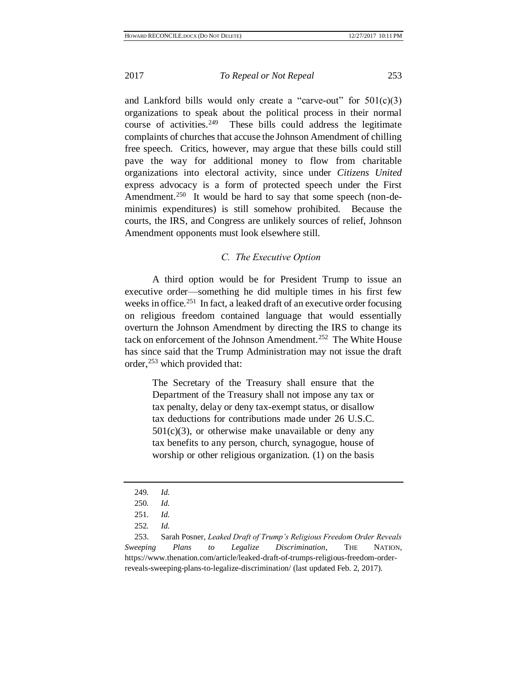and Lankford bills would only create a "carve-out" for  $501(c)(3)$ organizations to speak about the political process in their normal course of activities. $249$  These bills could address the legitimate complaints of churches that accuse the Johnson Amendment of chilling free speech. Critics, however, may argue that these bills could still pave the way for additional money to flow from charitable organizations into electoral activity, since under *Citizens United* express advocacy is a form of protected speech under the First Amendment.<sup>250</sup> It would be hard to say that some speech (non-deminimis expenditures) is still somehow prohibited. Because the courts, the IRS, and Congress are unlikely sources of relief, Johnson Amendment opponents must look elsewhere still.

## *C. The Executive Option*

A third option would be for President Trump to issue an executive order—something he did multiple times in his first few weeks in office.<sup>251</sup> In fact, a leaked draft of an executive order focusing on religious freedom contained language that would essentially overturn the Johnson Amendment by directing the IRS to change its tack on enforcement of the Johnson Amendment.<sup>252</sup> The White House has since said that the Trump Administration may not issue the draft order, <sup>253</sup> which provided that:

The Secretary of the Treasury shall ensure that the Department of the Treasury shall not impose any tax or tax penalty, delay or deny tax-exempt status, or disallow tax deductions for contributions made under 26 U.S.C.  $501(c)(3)$ , or otherwise make unavailable or deny any tax benefits to any person, church, synagogue, house of worship or other religious organization. (1) on the basis

253. Sarah Posner, *Leaked Draft of Trump's Religious Freedom Order Reveals Sweeping Plans to Legalize Discrimination*, THE NATION, https://www.thenation.com/article/leaked-draft-of-trumps-religious-freedom-orderreveals-sweeping-plans-to-legalize-discrimination/ (last updated Feb. 2, 2017).

<sup>249</sup>*. Id.*

<sup>250</sup>*. Id.*

<sup>251</sup>*. Id.*

<sup>252</sup>*. Id.*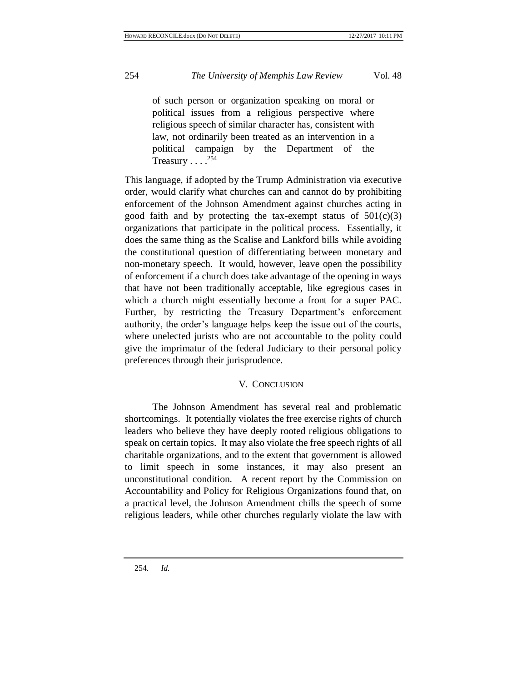of such person or organization speaking on moral or political issues from a religious perspective where religious speech of similar character has, consistent with law, not ordinarily been treated as an intervention in a political campaign by the Department of the Treasury . . . .<sup>254</sup>

This language, if adopted by the Trump Administration via executive order, would clarify what churches can and cannot do by prohibiting enforcement of the Johnson Amendment against churches acting in good faith and by protecting the tax-exempt status of  $501(c)(3)$ organizations that participate in the political process. Essentially, it does the same thing as the Scalise and Lankford bills while avoiding the constitutional question of differentiating between monetary and non-monetary speech. It would, however, leave open the possibility of enforcement if a church does take advantage of the opening in ways that have not been traditionally acceptable, like egregious cases in which a church might essentially become a front for a super PAC. Further, by restricting the Treasury Department's enforcement authority, the order's language helps keep the issue out of the courts, where unelected jurists who are not accountable to the polity could give the imprimatur of the federal Judiciary to their personal policy preferences through their jurisprudence.

## V. CONCLUSION

The Johnson Amendment has several real and problematic shortcomings. It potentially violates the free exercise rights of church leaders who believe they have deeply rooted religious obligations to speak on certain topics. It may also violate the free speech rights of all charitable organizations, and to the extent that government is allowed to limit speech in some instances, it may also present an unconstitutional condition. A recent report by the Commission on Accountability and Policy for Religious Organizations found that, on a practical level, the Johnson Amendment chills the speech of some religious leaders, while other churches regularly violate the law with

254*. Id.*